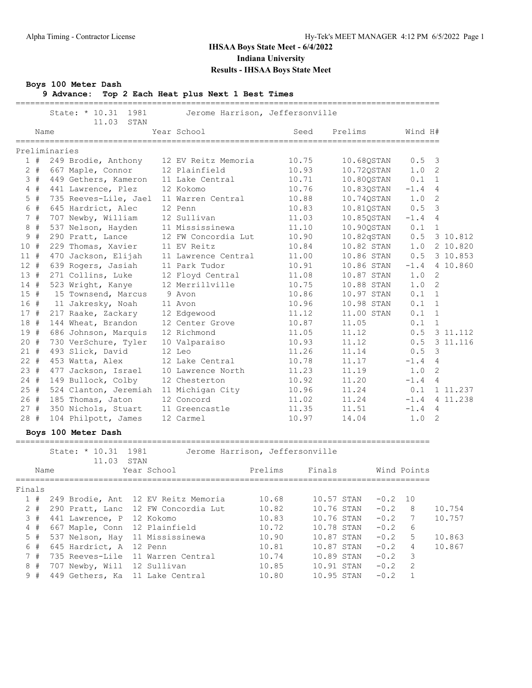=======================================================================================

#### **Boys 100 Meter Dash**

**9 Advance: Top 2 Each Heat plus Next 1 Best Times**

| 11.03 STAN<br>Year School<br>Prelims<br>Name<br>Seed<br>Wind H#<br>Preliminaries<br>1#<br>249 Brodie, Anthony<br>12 EV Reitz Memoria<br>10.75<br>10.68QSTAN<br>0.5<br>$\overline{\mathbf{3}}$<br>$2 +$<br>12 Plainfield<br>10.93<br>1.0<br>$\overline{2}$<br>667 Maple, Connor<br>10.720STAN<br>3#<br>449 Gethers, Kameron<br>10.71<br>10.80QSTAN<br>0.1<br>$\overline{1}$<br>11 Lake Central<br>4#<br>441 Lawrence, Plez<br>12 Kokomo<br>10.76<br>10.83QSTAN<br>$-1.4$<br>4<br>$5$ #<br>1.0 2<br>735 Reeves-Lile, Jael<br>11 Warren Central<br>10.88<br>10.74QSTAN<br>6 #<br>12 Penn<br>0.5<br>$\overline{\mathbf{3}}$<br>645 Hardrict, Alec<br>10.83<br>10.81QSTAN<br>7#<br>12 Sullivan<br>707 Newby, William<br>11.03<br>10.85QSTAN<br>$-1.4$<br>$\overline{4}$<br>8#<br>537 Nelson, Hayden<br>11 Mississinewa<br>11.10<br>10.90QSTAN<br>0.1<br>$\overline{1}$<br>#<br>9<br>290 Pratt, Lance<br>10.90<br>10.82qSTAN<br>0.5<br>3 10.812<br>12 FW Concordia Lut<br>10<br>#<br>11 EV Reitz<br>10.82 STAN<br>2 10.820<br>229 Thomas, Xavier<br>10.84<br>1.0<br>3 10.853<br>470 Jackson, Elijah<br>10.86 STAN<br>0.5<br>11#<br>11 Lawrence Central<br>11.00<br>12#<br>11 Park Tudor<br>10.86 STAN<br>$-1.4$<br>4 10.860<br>639 Rogers, Jasiah<br>10.91<br>13<br>#<br>1.0<br>2<br>271 Collins, Luke<br>12 Floyd Central<br>11.08<br>10.87 STAN<br>$\overline{2}$<br>14#<br>523 Wright, Kanye<br>12 Merrillville<br>1.0<br>10.75<br>10.88 STAN<br>15#<br>10.86<br>$0.1 \quad 1$<br>15 Townsend, Marcus<br>9 Avon<br>10.97 STAN<br>16 #<br>10.98 STAN<br>$0.1 \quad 1$<br>11 Jakresky, Noah<br>11 Avon<br>10.96<br>0.1<br>17#<br>217 Raake, Zackary<br>12 Edgewood<br>11.12<br>11.00 STAN<br>$\overline{1}$<br>18#<br>10.87<br>0.1<br>144 Wheat, Brandon<br>12 Center Grove<br>11.05<br><sup>1</sup><br>19#<br>0.5<br>686 Johnson, Marquis<br>12 Richmond<br>11.05<br>11.12<br>3 11.112<br>20#<br>730 VerSchure, Tyler<br>0.5<br>3 11.116<br>10 Valparaiso<br>10.93<br>11.12<br>$\overline{\mathbf{3}}$<br>21#<br>493 Slick, David<br>12 Leo<br>11.26<br>11.14<br>0.5<br>$22 +$<br>12 Lake Central<br>10.78<br>453 Watta, Alex<br>11.17<br>$-1.4$<br>$\overline{4}$<br>23#<br>477 Jackson, Israel<br>11.23<br>11.19<br>1.0<br>$\overline{2}$<br>10 Lawrence North<br>24#<br>149 Bullock, Colby<br>10.92<br>11.20<br>12 Chesterton<br>$-1.4$<br>$\overline{4}$<br>25#<br>0.1<br>1 11.237<br>524 Clanton, Jeremiah<br>11 Michigan City<br>10.96<br>11.24<br>26#<br>12 Concord<br>4 11.238<br>185 Thomas, Jaton<br>11.02<br>11.24<br>$-1.4$<br>27#<br>11.35<br>11.51<br>$-1.4$<br>350 Nichols, Stuart<br>11 Greencastle<br>4<br>28#<br>14.04<br>1.0<br>2<br>104 Philpott, James<br>12 Carmel<br>10.97<br>Boys 100 Meter Dash<br>State: * 10.31<br>1981<br>Jerome Harrison, Jeffersonville<br>11.03 STAN<br>Prelims<br>Finals<br>Year School<br>Wind Points<br>Name<br>Finals |  | State: * 10.31<br>1981 | Jerome Harrison, Jeffersonville |  |  |  |
|----------------------------------------------------------------------------------------------------------------------------------------------------------------------------------------------------------------------------------------------------------------------------------------------------------------------------------------------------------------------------------------------------------------------------------------------------------------------------------------------------------------------------------------------------------------------------------------------------------------------------------------------------------------------------------------------------------------------------------------------------------------------------------------------------------------------------------------------------------------------------------------------------------------------------------------------------------------------------------------------------------------------------------------------------------------------------------------------------------------------------------------------------------------------------------------------------------------------------------------------------------------------------------------------------------------------------------------------------------------------------------------------------------------------------------------------------------------------------------------------------------------------------------------------------------------------------------------------------------------------------------------------------------------------------------------------------------------------------------------------------------------------------------------------------------------------------------------------------------------------------------------------------------------------------------------------------------------------------------------------------------------------------------------------------------------------------------------------------------------------------------------------------------------------------------------------------------------------------------------------------------------------------------------------------------------------------------------------------------------------------------------------------------------------------------------------------------------------------------------------------------------------------------------------------------------------------------------------------------------------------------------------------------------------------------------------------------------------------------------------------------------------------------------------------------------------------------------------------------------------|--|------------------------|---------------------------------|--|--|--|
|                                                                                                                                                                                                                                                                                                                                                                                                                                                                                                                                                                                                                                                                                                                                                                                                                                                                                                                                                                                                                                                                                                                                                                                                                                                                                                                                                                                                                                                                                                                                                                                                                                                                                                                                                                                                                                                                                                                                                                                                                                                                                                                                                                                                                                                                                                                                                                                                                                                                                                                                                                                                                                                                                                                                                                                                                                                                      |  |                        |                                 |  |  |  |
|                                                                                                                                                                                                                                                                                                                                                                                                                                                                                                                                                                                                                                                                                                                                                                                                                                                                                                                                                                                                                                                                                                                                                                                                                                                                                                                                                                                                                                                                                                                                                                                                                                                                                                                                                                                                                                                                                                                                                                                                                                                                                                                                                                                                                                                                                                                                                                                                                                                                                                                                                                                                                                                                                                                                                                                                                                                                      |  |                        |                                 |  |  |  |
|                                                                                                                                                                                                                                                                                                                                                                                                                                                                                                                                                                                                                                                                                                                                                                                                                                                                                                                                                                                                                                                                                                                                                                                                                                                                                                                                                                                                                                                                                                                                                                                                                                                                                                                                                                                                                                                                                                                                                                                                                                                                                                                                                                                                                                                                                                                                                                                                                                                                                                                                                                                                                                                                                                                                                                                                                                                                      |  |                        |                                 |  |  |  |
|                                                                                                                                                                                                                                                                                                                                                                                                                                                                                                                                                                                                                                                                                                                                                                                                                                                                                                                                                                                                                                                                                                                                                                                                                                                                                                                                                                                                                                                                                                                                                                                                                                                                                                                                                                                                                                                                                                                                                                                                                                                                                                                                                                                                                                                                                                                                                                                                                                                                                                                                                                                                                                                                                                                                                                                                                                                                      |  |                        |                                 |  |  |  |
|                                                                                                                                                                                                                                                                                                                                                                                                                                                                                                                                                                                                                                                                                                                                                                                                                                                                                                                                                                                                                                                                                                                                                                                                                                                                                                                                                                                                                                                                                                                                                                                                                                                                                                                                                                                                                                                                                                                                                                                                                                                                                                                                                                                                                                                                                                                                                                                                                                                                                                                                                                                                                                                                                                                                                                                                                                                                      |  |                        |                                 |  |  |  |
|                                                                                                                                                                                                                                                                                                                                                                                                                                                                                                                                                                                                                                                                                                                                                                                                                                                                                                                                                                                                                                                                                                                                                                                                                                                                                                                                                                                                                                                                                                                                                                                                                                                                                                                                                                                                                                                                                                                                                                                                                                                                                                                                                                                                                                                                                                                                                                                                                                                                                                                                                                                                                                                                                                                                                                                                                                                                      |  |                        |                                 |  |  |  |
|                                                                                                                                                                                                                                                                                                                                                                                                                                                                                                                                                                                                                                                                                                                                                                                                                                                                                                                                                                                                                                                                                                                                                                                                                                                                                                                                                                                                                                                                                                                                                                                                                                                                                                                                                                                                                                                                                                                                                                                                                                                                                                                                                                                                                                                                                                                                                                                                                                                                                                                                                                                                                                                                                                                                                                                                                                                                      |  |                        |                                 |  |  |  |
|                                                                                                                                                                                                                                                                                                                                                                                                                                                                                                                                                                                                                                                                                                                                                                                                                                                                                                                                                                                                                                                                                                                                                                                                                                                                                                                                                                                                                                                                                                                                                                                                                                                                                                                                                                                                                                                                                                                                                                                                                                                                                                                                                                                                                                                                                                                                                                                                                                                                                                                                                                                                                                                                                                                                                                                                                                                                      |  |                        |                                 |  |  |  |
|                                                                                                                                                                                                                                                                                                                                                                                                                                                                                                                                                                                                                                                                                                                                                                                                                                                                                                                                                                                                                                                                                                                                                                                                                                                                                                                                                                                                                                                                                                                                                                                                                                                                                                                                                                                                                                                                                                                                                                                                                                                                                                                                                                                                                                                                                                                                                                                                                                                                                                                                                                                                                                                                                                                                                                                                                                                                      |  |                        |                                 |  |  |  |
|                                                                                                                                                                                                                                                                                                                                                                                                                                                                                                                                                                                                                                                                                                                                                                                                                                                                                                                                                                                                                                                                                                                                                                                                                                                                                                                                                                                                                                                                                                                                                                                                                                                                                                                                                                                                                                                                                                                                                                                                                                                                                                                                                                                                                                                                                                                                                                                                                                                                                                                                                                                                                                                                                                                                                                                                                                                                      |  |                        |                                 |  |  |  |
|                                                                                                                                                                                                                                                                                                                                                                                                                                                                                                                                                                                                                                                                                                                                                                                                                                                                                                                                                                                                                                                                                                                                                                                                                                                                                                                                                                                                                                                                                                                                                                                                                                                                                                                                                                                                                                                                                                                                                                                                                                                                                                                                                                                                                                                                                                                                                                                                                                                                                                                                                                                                                                                                                                                                                                                                                                                                      |  |                        |                                 |  |  |  |
|                                                                                                                                                                                                                                                                                                                                                                                                                                                                                                                                                                                                                                                                                                                                                                                                                                                                                                                                                                                                                                                                                                                                                                                                                                                                                                                                                                                                                                                                                                                                                                                                                                                                                                                                                                                                                                                                                                                                                                                                                                                                                                                                                                                                                                                                                                                                                                                                                                                                                                                                                                                                                                                                                                                                                                                                                                                                      |  |                        |                                 |  |  |  |
|                                                                                                                                                                                                                                                                                                                                                                                                                                                                                                                                                                                                                                                                                                                                                                                                                                                                                                                                                                                                                                                                                                                                                                                                                                                                                                                                                                                                                                                                                                                                                                                                                                                                                                                                                                                                                                                                                                                                                                                                                                                                                                                                                                                                                                                                                                                                                                                                                                                                                                                                                                                                                                                                                                                                                                                                                                                                      |  |                        |                                 |  |  |  |
|                                                                                                                                                                                                                                                                                                                                                                                                                                                                                                                                                                                                                                                                                                                                                                                                                                                                                                                                                                                                                                                                                                                                                                                                                                                                                                                                                                                                                                                                                                                                                                                                                                                                                                                                                                                                                                                                                                                                                                                                                                                                                                                                                                                                                                                                                                                                                                                                                                                                                                                                                                                                                                                                                                                                                                                                                                                                      |  |                        |                                 |  |  |  |
|                                                                                                                                                                                                                                                                                                                                                                                                                                                                                                                                                                                                                                                                                                                                                                                                                                                                                                                                                                                                                                                                                                                                                                                                                                                                                                                                                                                                                                                                                                                                                                                                                                                                                                                                                                                                                                                                                                                                                                                                                                                                                                                                                                                                                                                                                                                                                                                                                                                                                                                                                                                                                                                                                                                                                                                                                                                                      |  |                        |                                 |  |  |  |
|                                                                                                                                                                                                                                                                                                                                                                                                                                                                                                                                                                                                                                                                                                                                                                                                                                                                                                                                                                                                                                                                                                                                                                                                                                                                                                                                                                                                                                                                                                                                                                                                                                                                                                                                                                                                                                                                                                                                                                                                                                                                                                                                                                                                                                                                                                                                                                                                                                                                                                                                                                                                                                                                                                                                                                                                                                                                      |  |                        |                                 |  |  |  |
|                                                                                                                                                                                                                                                                                                                                                                                                                                                                                                                                                                                                                                                                                                                                                                                                                                                                                                                                                                                                                                                                                                                                                                                                                                                                                                                                                                                                                                                                                                                                                                                                                                                                                                                                                                                                                                                                                                                                                                                                                                                                                                                                                                                                                                                                                                                                                                                                                                                                                                                                                                                                                                                                                                                                                                                                                                                                      |  |                        |                                 |  |  |  |
|                                                                                                                                                                                                                                                                                                                                                                                                                                                                                                                                                                                                                                                                                                                                                                                                                                                                                                                                                                                                                                                                                                                                                                                                                                                                                                                                                                                                                                                                                                                                                                                                                                                                                                                                                                                                                                                                                                                                                                                                                                                                                                                                                                                                                                                                                                                                                                                                                                                                                                                                                                                                                                                                                                                                                                                                                                                                      |  |                        |                                 |  |  |  |
|                                                                                                                                                                                                                                                                                                                                                                                                                                                                                                                                                                                                                                                                                                                                                                                                                                                                                                                                                                                                                                                                                                                                                                                                                                                                                                                                                                                                                                                                                                                                                                                                                                                                                                                                                                                                                                                                                                                                                                                                                                                                                                                                                                                                                                                                                                                                                                                                                                                                                                                                                                                                                                                                                                                                                                                                                                                                      |  |                        |                                 |  |  |  |
|                                                                                                                                                                                                                                                                                                                                                                                                                                                                                                                                                                                                                                                                                                                                                                                                                                                                                                                                                                                                                                                                                                                                                                                                                                                                                                                                                                                                                                                                                                                                                                                                                                                                                                                                                                                                                                                                                                                                                                                                                                                                                                                                                                                                                                                                                                                                                                                                                                                                                                                                                                                                                                                                                                                                                                                                                                                                      |  |                        |                                 |  |  |  |
|                                                                                                                                                                                                                                                                                                                                                                                                                                                                                                                                                                                                                                                                                                                                                                                                                                                                                                                                                                                                                                                                                                                                                                                                                                                                                                                                                                                                                                                                                                                                                                                                                                                                                                                                                                                                                                                                                                                                                                                                                                                                                                                                                                                                                                                                                                                                                                                                                                                                                                                                                                                                                                                                                                                                                                                                                                                                      |  |                        |                                 |  |  |  |
|                                                                                                                                                                                                                                                                                                                                                                                                                                                                                                                                                                                                                                                                                                                                                                                                                                                                                                                                                                                                                                                                                                                                                                                                                                                                                                                                                                                                                                                                                                                                                                                                                                                                                                                                                                                                                                                                                                                                                                                                                                                                                                                                                                                                                                                                                                                                                                                                                                                                                                                                                                                                                                                                                                                                                                                                                                                                      |  |                        |                                 |  |  |  |
|                                                                                                                                                                                                                                                                                                                                                                                                                                                                                                                                                                                                                                                                                                                                                                                                                                                                                                                                                                                                                                                                                                                                                                                                                                                                                                                                                                                                                                                                                                                                                                                                                                                                                                                                                                                                                                                                                                                                                                                                                                                                                                                                                                                                                                                                                                                                                                                                                                                                                                                                                                                                                                                                                                                                                                                                                                                                      |  |                        |                                 |  |  |  |
|                                                                                                                                                                                                                                                                                                                                                                                                                                                                                                                                                                                                                                                                                                                                                                                                                                                                                                                                                                                                                                                                                                                                                                                                                                                                                                                                                                                                                                                                                                                                                                                                                                                                                                                                                                                                                                                                                                                                                                                                                                                                                                                                                                                                                                                                                                                                                                                                                                                                                                                                                                                                                                                                                                                                                                                                                                                                      |  |                        |                                 |  |  |  |
|                                                                                                                                                                                                                                                                                                                                                                                                                                                                                                                                                                                                                                                                                                                                                                                                                                                                                                                                                                                                                                                                                                                                                                                                                                                                                                                                                                                                                                                                                                                                                                                                                                                                                                                                                                                                                                                                                                                                                                                                                                                                                                                                                                                                                                                                                                                                                                                                                                                                                                                                                                                                                                                                                                                                                                                                                                                                      |  |                        |                                 |  |  |  |
|                                                                                                                                                                                                                                                                                                                                                                                                                                                                                                                                                                                                                                                                                                                                                                                                                                                                                                                                                                                                                                                                                                                                                                                                                                                                                                                                                                                                                                                                                                                                                                                                                                                                                                                                                                                                                                                                                                                                                                                                                                                                                                                                                                                                                                                                                                                                                                                                                                                                                                                                                                                                                                                                                                                                                                                                                                                                      |  |                        |                                 |  |  |  |
|                                                                                                                                                                                                                                                                                                                                                                                                                                                                                                                                                                                                                                                                                                                                                                                                                                                                                                                                                                                                                                                                                                                                                                                                                                                                                                                                                                                                                                                                                                                                                                                                                                                                                                                                                                                                                                                                                                                                                                                                                                                                                                                                                                                                                                                                                                                                                                                                                                                                                                                                                                                                                                                                                                                                                                                                                                                                      |  |                        |                                 |  |  |  |
|                                                                                                                                                                                                                                                                                                                                                                                                                                                                                                                                                                                                                                                                                                                                                                                                                                                                                                                                                                                                                                                                                                                                                                                                                                                                                                                                                                                                                                                                                                                                                                                                                                                                                                                                                                                                                                                                                                                                                                                                                                                                                                                                                                                                                                                                                                                                                                                                                                                                                                                                                                                                                                                                                                                                                                                                                                                                      |  |                        |                                 |  |  |  |
|                                                                                                                                                                                                                                                                                                                                                                                                                                                                                                                                                                                                                                                                                                                                                                                                                                                                                                                                                                                                                                                                                                                                                                                                                                                                                                                                                                                                                                                                                                                                                                                                                                                                                                                                                                                                                                                                                                                                                                                                                                                                                                                                                                                                                                                                                                                                                                                                                                                                                                                                                                                                                                                                                                                                                                                                                                                                      |  |                        |                                 |  |  |  |
|                                                                                                                                                                                                                                                                                                                                                                                                                                                                                                                                                                                                                                                                                                                                                                                                                                                                                                                                                                                                                                                                                                                                                                                                                                                                                                                                                                                                                                                                                                                                                                                                                                                                                                                                                                                                                                                                                                                                                                                                                                                                                                                                                                                                                                                                                                                                                                                                                                                                                                                                                                                                                                                                                                                                                                                                                                                                      |  |                        |                                 |  |  |  |
|                                                                                                                                                                                                                                                                                                                                                                                                                                                                                                                                                                                                                                                                                                                                                                                                                                                                                                                                                                                                                                                                                                                                                                                                                                                                                                                                                                                                                                                                                                                                                                                                                                                                                                                                                                                                                                                                                                                                                                                                                                                                                                                                                                                                                                                                                                                                                                                                                                                                                                                                                                                                                                                                                                                                                                                                                                                                      |  |                        |                                 |  |  |  |
|                                                                                                                                                                                                                                                                                                                                                                                                                                                                                                                                                                                                                                                                                                                                                                                                                                                                                                                                                                                                                                                                                                                                                                                                                                                                                                                                                                                                                                                                                                                                                                                                                                                                                                                                                                                                                                                                                                                                                                                                                                                                                                                                                                                                                                                                                                                                                                                                                                                                                                                                                                                                                                                                                                                                                                                                                                                                      |  |                        |                                 |  |  |  |
|                                                                                                                                                                                                                                                                                                                                                                                                                                                                                                                                                                                                                                                                                                                                                                                                                                                                                                                                                                                                                                                                                                                                                                                                                                                                                                                                                                                                                                                                                                                                                                                                                                                                                                                                                                                                                                                                                                                                                                                                                                                                                                                                                                                                                                                                                                                                                                                                                                                                                                                                                                                                                                                                                                                                                                                                                                                                      |  |                        |                                 |  |  |  |
|                                                                                                                                                                                                                                                                                                                                                                                                                                                                                                                                                                                                                                                                                                                                                                                                                                                                                                                                                                                                                                                                                                                                                                                                                                                                                                                                                                                                                                                                                                                                                                                                                                                                                                                                                                                                                                                                                                                                                                                                                                                                                                                                                                                                                                                                                                                                                                                                                                                                                                                                                                                                                                                                                                                                                                                                                                                                      |  |                        |                                 |  |  |  |
|                                                                                                                                                                                                                                                                                                                                                                                                                                                                                                                                                                                                                                                                                                                                                                                                                                                                                                                                                                                                                                                                                                                                                                                                                                                                                                                                                                                                                                                                                                                                                                                                                                                                                                                                                                                                                                                                                                                                                                                                                                                                                                                                                                                                                                                                                                                                                                                                                                                                                                                                                                                                                                                                                                                                                                                                                                                                      |  |                        |                                 |  |  |  |
|                                                                                                                                                                                                                                                                                                                                                                                                                                                                                                                                                                                                                                                                                                                                                                                                                                                                                                                                                                                                                                                                                                                                                                                                                                                                                                                                                                                                                                                                                                                                                                                                                                                                                                                                                                                                                                                                                                                                                                                                                                                                                                                                                                                                                                                                                                                                                                                                                                                                                                                                                                                                                                                                                                                                                                                                                                                                      |  |                        |                                 |  |  |  |
| 12 EV Reitz Memoria<br>$1$ #<br>249 Brodie, Ant<br>10.68<br>10.57 STAN<br>$-0.2$<br>10                                                                                                                                                                                                                                                                                                                                                                                                                                                                                                                                                                                                                                                                                                                                                                                                                                                                                                                                                                                                                                                                                                                                                                                                                                                                                                                                                                                                                                                                                                                                                                                                                                                                                                                                                                                                                                                                                                                                                                                                                                                                                                                                                                                                                                                                                                                                                                                                                                                                                                                                                                                                                                                                                                                                                                               |  |                        |                                 |  |  |  |
| $2 +$<br>290 Pratt, Lanc<br>12 FW Concordia Lut<br>10.82<br>10.76 STAN<br>$-0.2$<br>8<br>10.754                                                                                                                                                                                                                                                                                                                                                                                                                                                                                                                                                                                                                                                                                                                                                                                                                                                                                                                                                                                                                                                                                                                                                                                                                                                                                                                                                                                                                                                                                                                                                                                                                                                                                                                                                                                                                                                                                                                                                                                                                                                                                                                                                                                                                                                                                                                                                                                                                                                                                                                                                                                                                                                                                                                                                                      |  |                        |                                 |  |  |  |
| 3#<br>12 Kokomo<br>10.83<br>10.76 STAN<br>$-0.2$<br>441 Lawrence, P<br>7<br>10.757                                                                                                                                                                                                                                                                                                                                                                                                                                                                                                                                                                                                                                                                                                                                                                                                                                                                                                                                                                                                                                                                                                                                                                                                                                                                                                                                                                                                                                                                                                                                                                                                                                                                                                                                                                                                                                                                                                                                                                                                                                                                                                                                                                                                                                                                                                                                                                                                                                                                                                                                                                                                                                                                                                                                                                                   |  |                        |                                 |  |  |  |
| $4$ #<br>667 Maple, Conn<br>10.78 STAN<br>$-0.2$<br>12 Plainfield<br>10.72<br>6                                                                                                                                                                                                                                                                                                                                                                                                                                                                                                                                                                                                                                                                                                                                                                                                                                                                                                                                                                                                                                                                                                                                                                                                                                                                                                                                                                                                                                                                                                                                                                                                                                                                                                                                                                                                                                                                                                                                                                                                                                                                                                                                                                                                                                                                                                                                                                                                                                                                                                                                                                                                                                                                                                                                                                                      |  |                        |                                 |  |  |  |
| $5$ #<br>537 Nelson, Hay<br>10.87 STAN<br>$-0.2$<br>11 Mississinewa<br>10.90<br>5<br>10.863                                                                                                                                                                                                                                                                                                                                                                                                                                                                                                                                                                                                                                                                                                                                                                                                                                                                                                                                                                                                                                                                                                                                                                                                                                                                                                                                                                                                                                                                                                                                                                                                                                                                                                                                                                                                                                                                                                                                                                                                                                                                                                                                                                                                                                                                                                                                                                                                                                                                                                                                                                                                                                                                                                                                                                          |  |                        |                                 |  |  |  |
| 6 #<br>645 Hardrict, A<br>12 Penn<br>10.81<br>10.87 STAN<br>$-0.2$<br>4<br>10.867                                                                                                                                                                                                                                                                                                                                                                                                                                                                                                                                                                                                                                                                                                                                                                                                                                                                                                                                                                                                                                                                                                                                                                                                                                                                                                                                                                                                                                                                                                                                                                                                                                                                                                                                                                                                                                                                                                                                                                                                                                                                                                                                                                                                                                                                                                                                                                                                                                                                                                                                                                                                                                                                                                                                                                                    |  |                        |                                 |  |  |  |
| 7#<br>735 Reeves-Lile<br>11 Warren Central<br>10.89 STAN<br>$-0.2$<br>10.74<br>3                                                                                                                                                                                                                                                                                                                                                                                                                                                                                                                                                                                                                                                                                                                                                                                                                                                                                                                                                                                                                                                                                                                                                                                                                                                                                                                                                                                                                                                                                                                                                                                                                                                                                                                                                                                                                                                                                                                                                                                                                                                                                                                                                                                                                                                                                                                                                                                                                                                                                                                                                                                                                                                                                                                                                                                     |  |                        |                                 |  |  |  |
| 707 Newby, Will 12 Sullivan<br>10.85<br>10.91 STAN<br>$-0.2$<br>2<br>8#                                                                                                                                                                                                                                                                                                                                                                                                                                                                                                                                                                                                                                                                                                                                                                                                                                                                                                                                                                                                                                                                                                                                                                                                                                                                                                                                                                                                                                                                                                                                                                                                                                                                                                                                                                                                                                                                                                                                                                                                                                                                                                                                                                                                                                                                                                                                                                                                                                                                                                                                                                                                                                                                                                                                                                                              |  |                        |                                 |  |  |  |

9 # 449 Gethers, Ka 11 Lake Central 10.80 10.95 STAN -0.2 1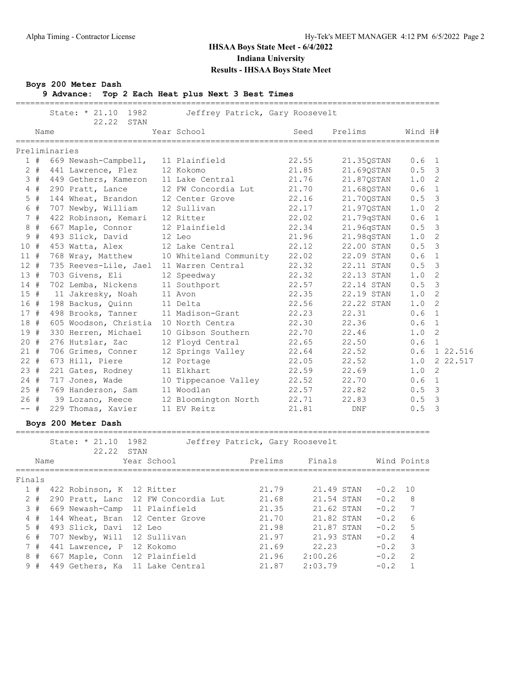#### **Boys 200 Meter Dash**

**9 Advance: Top 2 Each Heat plus Next 3 Best Times**

|        |       | State: * 21.10                      | 1982          |                        | Jeffrey Patrick, Gary Roosevelt |            | ---------------------------- |               |                            |
|--------|-------|-------------------------------------|---------------|------------------------|---------------------------------|------------|------------------------------|---------------|----------------------------|
|        | Name  | 22.22 STAN                          |               | Year School            |                                 | Seed       | Prelims                      | Wind H#       |                            |
|        |       | Preliminaries                       |               |                        |                                 |            |                              |               |                            |
|        |       | 1 # 669 Newash-Campbell,            |               | 11 Plainfield          |                                 | 22.55      | 21.35QSTAN                   | $0.6 \quad 1$ |                            |
|        | $2 +$ | 441 Lawrence, Plez                  |               | 12 Kokomo              |                                 | 21.85      | 21.69QSTAN                   | $0.5 \quad 3$ |                            |
|        | 3#    | 449 Gethers, Kameron                |               | 11 Lake Central        |                                 | 21.76      | 21.87QSTAN                   | 1.0 2         |                            |
|        | $4$ # | 290 Pratt, Lance                    |               | 12 FW Concordia Lut    |                                 | 21.70      | 21.68QSTAN                   | 0.6 1         |                            |
|        | $5$ # | 144 Wheat, Brandon                  |               | 12 Center Grove        |                                 | 22.16      | 21.700STAN                   | $0.5 \quad 3$ |                            |
|        | 6 #   | 707 Newby, William                  |               | 12 Sullivan            |                                 | 22.17      | 21.97QSTAN                   | 1.0           | $\overline{\phantom{0}}^2$ |
|        | 7#    | 422 Robinson, Kemari                |               | 12 Ritter              |                                 | 22.02      | 21.79qSTAN                   | 0.6 1         |                            |
|        | 8#    | 667 Maple, Connor                   |               | 12 Plainfield          |                                 | 22.34      | 21.96qSTAN                   | 0.5           | $\overline{\mathbf{3}}$    |
|        | 9#    | 493 Slick, David                    |               | 12 Leo                 |                                 | 21.96      | 21.98qSTAN                   | 1.0           | $\overline{\phantom{0}}^2$ |
| 10#    |       | 453 Watta, Alex                     |               | 12 Lake Central        |                                 | 22.12      | 22.00 STAN                   | 0.5           | $\overline{\mathbf{3}}$    |
| $11$ # |       | 768 Wray, Matthew                   |               | 10 Whiteland Community |                                 | 22.02      | 22.09 STAN                   | 0.6           | $\mathbf{1}$               |
| 12#    |       | 735 Reeves-Lile, Jael               |               | 11 Warren Central      |                                 | 22.32      | 22.11 STAN                   | 0.5           | $\overline{\mathbf{3}}$    |
| 13#    |       | 703 Givens, Eli                     |               | 12 Speedway            |                                 | 22.32      | 22.13 STAN                   | 1.0           | $\overline{\phantom{0}}^2$ |
| 14#    |       | 702 Lemba, Nickens                  |               | 11 Southport           |                                 | 22.57      | 22.14 STAN                   | 0.5           | $\overline{\mathbf{3}}$    |
| 15#    |       | 11 Jakresky, Noah                   |               | 11 Avon                |                                 | 22.35      | 22.19 STAN                   | 1.0           | $\overline{\phantom{0}}^2$ |
| 16 #   |       | 198 Backus, Quinn                   |               | 11 Delta               |                                 | 22.56      | 22.22 STAN                   | 1.0           | 2                          |
| 17#    |       | 498 Brooks, Tanner                  |               | 11 Madison-Grant       |                                 | 22.23      | 22.31                        | 0.6           | $\overline{1}$             |
| 18#    |       | 605 Woodson, Christia               |               | 10 North Centra        |                                 | 22.30      | 22.36                        | 0.6           | $\overline{1}$             |
| 19#    |       | 330 Herren, Michael                 |               | 10 Gibson Southern     |                                 | 22.70      | 22.46                        | 1.0           | 2                          |
| $20 +$ |       | 276 Hutslar, Zac                    |               | 12 Floyd Central       |                                 | 22.65      | 22.50                        | 0.6           | $\overline{1}$             |
| $21 +$ |       | 706 Grimes, Conner                  |               | 12 Springs Valley      |                                 | 22.64      | 22.52                        |               | $0.6$ 1 22.516             |
| $22 +$ |       | 673 Hill, Piere                     |               | 12 Portage             |                                 | 22.05      | 22.52                        | 1.0           | 2 22.517                   |
| 23#    |       | 221 Gates, Rodney                   |               | 11 Elkhart             |                                 | 22.59      | 22.69                        | 1.0           | 2                          |
| $24 +$ |       | 717 Jones, Wade                     |               | 10 Tippecanoe Valley   |                                 | 22.52      | 22.70                        | 0.6 1         |                            |
| 25#    |       | 769 Handerson, Sam                  |               | 11 Woodlan             |                                 | 22.57      | 22.82                        | $0.5 \quad 3$ |                            |
| 26#    |       | 39 Lozano, Reece                    |               | 12 Bloomington North   |                                 | 22.71      | 22.83                        | 0.5           | $\overline{\mathbf{3}}$    |
| $--$ # |       | 229 Thomas, Xavier                  |               | 11 EV Reitz            |                                 | 21.81      | DNF                          | 0.5           | 3                          |
|        |       | Boys 200 Meter Dash                 |               |                        |                                 |            |                              |               |                            |
|        |       | State: * 21.10<br>22.22 STAN        | 1982          |                        | Jeffrey Patrick, Gary Roosevelt |            |                              |               |                            |
|        | Name  |                                     | Year School   |                        | Prelims                         | Finals     |                              | Wind Points   |                            |
|        |       |                                     |               |                        |                                 |            |                              |               |                            |
| Finals |       |                                     |               |                        |                                 |            |                              |               |                            |
|        |       | 1 # 422 Robinson, K 12 Ritter       |               |                        | 21.79                           |            | 21.49 STAN<br>$-0.2$ 10      |               |                            |
|        | $2 +$ | 290 Pratt, Lanc 12 FW Concordia Lut |               |                        | 21.68                           | 21.54 STAN | $-0.2$                       | 8             |                            |
|        | 3#    | 669 Newash-Camp 11 Plainfield       |               |                        | 21.35                           | 21.62 STAN | $-0.2$                       | 7             |                            |
|        | $4$ # | 144 Wheat, Bran 12 Center Grove     |               |                        | 21.70                           | 21.82 STAN | $-0.2$                       | 6             |                            |
|        | $5$ # | 493 Slick, Davi                     | 12 Leo        |                        | 21.98                           | 21.87 STAN | $-0.2$                       | 5             |                            |
|        | 6#    | 707 Newby, Will                     | 12 Sullivan   |                        | 21.97                           | 21.93 STAN | $-0.2$                       | 4             |                            |
|        | 7#    | 441 Lawrence, P                     | 12 Kokomo     |                        | 21.69                           | 22.23      | $-0.2$                       | 3             |                            |
|        | 8#    | 667 Maple, Conn                     | 12 Plainfield |                        | 21.96                           | 2:00.26    | $-0.2$                       | 2             |                            |
|        | 9#    | 449 Gethers, Ka 11 Lake Central     |               |                        | 21.87                           | 2:03.79    | $-0.2$                       | $\mathbf{1}$  |                            |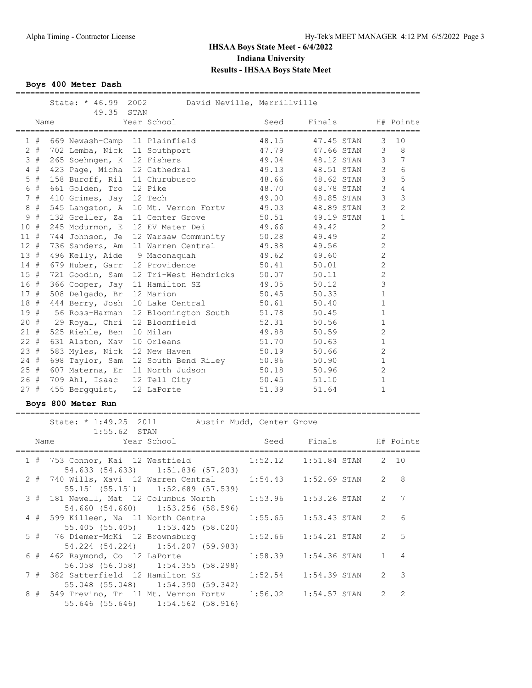**Boys 400 Meter Dash**

|        |       | State: * 46.99 2002<br>David Neville, Merrillville |                               |      |                                 |       |            |                |                |
|--------|-------|----------------------------------------------------|-------------------------------|------|---------------------------------|-------|------------|----------------|----------------|
|        | Name  |                                                    | 49.35                         | STAN | Year School                     | Seed  | Finals     |                | H# Points      |
|        | 1#    |                                                    | 669 Newash-Camp 11 Plainfield |      |                                 | 48.15 | 47.45 STAN | 3              | 10             |
|        | $2 +$ |                                                    | 702 Lemba, Nick               |      | 11 Southport                    | 47.79 | 47.66 STAN | 3              | 8              |
| 3      | #     |                                                    | 265 Soehngen, K               |      | 12 Fishers                      | 49.04 | 48.12 STAN | 3              | 7              |
|        | 4#    |                                                    | 423 Page, Micha 12 Cathedral  |      |                                 | 49.13 | 48.51 STAN | 3              | 6              |
| 5      | #     |                                                    | 158 Buroff, Ril               |      | 11 Churubusco                   | 48.66 | 48.62 STAN | 3              | 5              |
| 6      | #     |                                                    | 661 Golden, Tro               |      | 12 Pike                         | 48.70 | 48.78 STAN | 3              | $\sqrt{4}$     |
|        | 7#    |                                                    | 410 Grimes, Jay               |      | 12 Tech                         | 49.00 | 48.85 STAN | 3              | $\mathcal{S}$  |
| 8      | #     |                                                    | 545 Langston, A               |      | 10 Mt. Vernon Forty             | 49.03 | 48.89 STAN | 3              | $\overline{c}$ |
| 9      | #     |                                                    |                               |      | 132 Greller, Za 11 Center Grove | 50.51 | 49.19 STAN | $\mathbf{1}$   | $\mathbf{1}$   |
| 10#    |       |                                                    |                               |      | 245 Mcdurmon, E 12 EV Mater Dei | 49.66 | 49.42      | $\overline{2}$ |                |
| 11#    |       |                                                    | 744 Johnson, Je               |      | 12 Warsaw Community             | 50.28 | 49.49      | $\overline{c}$ |                |
| $12 +$ |       |                                                    | 736 Sanders, Am               |      | 11 Warren Central               | 49.88 | 49.56      | $\overline{c}$ |                |
| 13#    |       |                                                    | 496 Kelly, Aide 9 Maconaquah  |      |                                 | 49.62 | 49.60      | $\overline{2}$ |                |
| 14#    |       |                                                    | 679 Huber, Garr               |      | 12 Providence                   | 50.41 | 50.01      | $\overline{2}$ |                |
| 15#    |       |                                                    | 721 Goodin, Sam               |      | 12 Tri-West Hendricks           | 50.07 | 50.11      | $\overline{c}$ |                |
| 16#    |       |                                                    | 366 Cooper, Jay               |      | 11 Hamilton SE                  | 49.05 | 50.12      | 3              |                |
| 17#    |       |                                                    | 508 Delgado, Br               |      | 12 Marion                       | 50.45 | 50.33      | $\mathbf{1}$   |                |
| 18#    |       |                                                    | 444 Berry, Josh               |      | 10 Lake Central                 | 50.61 | 50.40      | 1              |                |
| 19#    |       |                                                    | 56 Ross-Harman                |      | 12 Bloomington South            | 51.78 | 50.45      | $\mathbf{1}$   |                |
| 20#    |       |                                                    | 29 Royal, Chri                |      | 12 Bloomfield                   | 52.31 | 50.56      | 1              |                |
| 21#    |       |                                                    | 525 Riehle, Ben               |      | 10 Milan                        | 49.88 | 50.59      | $\overline{c}$ |                |
| $22 +$ |       |                                                    | 631 Alston, Xav               |      | 10 Orleans                      | 51.70 | 50.63      | $\mathbf{1}$   |                |
| 23#    |       |                                                    | 583 Myles, Nick               |      | 12 New Haven                    | 50.19 | 50.66      | $\overline{2}$ |                |
| 24#    |       |                                                    | 698 Taylor, Sam               |      | 12 South Bend Riley             | 50.86 | 50.90      | 1              |                |
| 25#    |       |                                                    | 607 Materna, Er               |      | 11 North Judson                 | 50.18 | 50.96      | $\overline{2}$ |                |
| 26#    |       |                                                    | 709 Ahl, Isaac                |      | 12 Tell City                    | 50.45 | 51.10      | 1              |                |
| 27#    |       |                                                    | 455 Bergguist,                |      | 12 LaPorte                      | 51.39 | 51.64      | $\mathbf{1}$   |                |

#### **Boys 800 Meter Run**

===================================================================================

|  | State: * 1:49.25 2011 Austin Mudd, Center Grove<br>$1:55.62$ STAN                               |  |                  |
|--|-------------------------------------------------------------------------------------------------|--|------------------|
|  |                                                                                                 |  |                  |
|  | 1 # 753 Connor, Kai 12 Westfield 1:52.12 1:51.84 STAN 2 10<br>54.633 (54.633) 1:51.836 (57.203) |  |                  |
|  | 2 # 740 Wills, Xavi 12 Warren Central 1:54.43 1:52.69 STAN<br>55.151 (55.151) 1:52.689 (57.539) |  | $2 \quad 8$      |
|  | 3 # 181 Newell, Mat 12 Columbus North 1:53.96 1:53.26 STAN<br>54.660 (54.660) 1:53.256 (58.596) |  | $2 \overline{7}$ |
|  | 4 # 599 Killeen, Na 11 North Centra 1:55.65 1:53.43 STAN<br>55.405 (55.405) 1:53.425 (58.020)   |  | $2\overline{6}$  |
|  | 5 # 76 Diemer-McKi 12 Brownsburg 1:52.66 1:54.21 STAN<br>54.224 (54.224) 1:54.207 (59.983)      |  | 2 <sub>5</sub>   |
|  | 6 # 462 Raymond, Co 12 LaPorte 1:58.39 1:54.36 STAN<br>56.058 (56.058) 1:54.355 (58.298)        |  | $1 \quad 4$      |
|  | 7 # 382 Satterfield 12 Hamilton SE 1:52.54 1:54.39 STAN<br>55.048 (55.048) 1:54.390 (59.342)    |  | $2 \quad 3$      |
|  | 55.646 (55.646) 1:54.562 (58.916)                                                               |  | $2 \quad 2$      |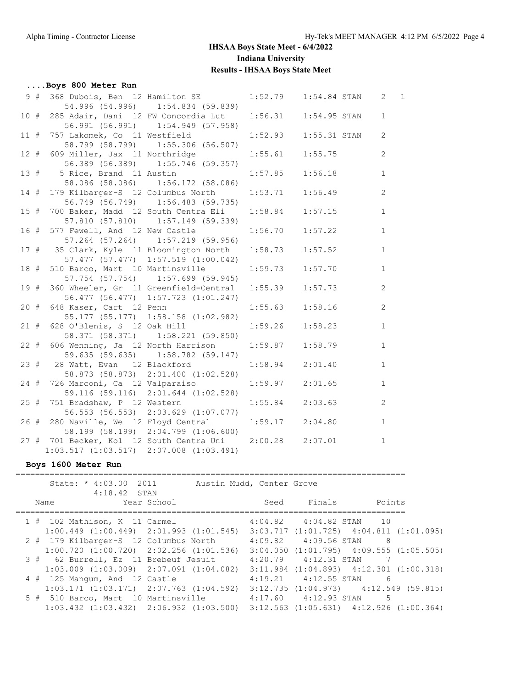## **....Boys 800 Meter Run**

| 9#     |                                                          | 368 Dubois, Ben 12 Hamilton SE 1:52.79 1:54.84 STAN 2 1  |                     |         |              |
|--------|----------------------------------------------------------|----------------------------------------------------------|---------------------|---------|--------------|
|        |                                                          | 54.996 (54.996) 1:54.834 (59.839)                        |                     |         |              |
| 10#    |                                                          | 285 Adair, Dani 12 FW Concordia Lut 1:56.31 1:54.95 STAN |                     |         | $\mathbf{1}$ |
|        |                                                          | 56.991 (56.991) 1:54.949 (57.958)                        |                     |         |              |
| 11#    |                                                          | 757 Lakomek, Co 11 Westfield 1:52.93 1:55.31 STAN        |                     |         | 2            |
|        |                                                          | 58.799 (58.799) 1:55.306 (56.507)                        |                     |         |              |
| $12$ # | 609 Miller, Jax 11 Northridge 1:55.61 1:55.75            |                                                          |                     |         | 2            |
|        |                                                          | 56.389 (56.389) 1:55.746 (59.357)                        |                     |         |              |
|        | 13 # 5 Rice, Brand 11 Austin 1:57.85 1:56.18             |                                                          |                     |         | $\mathbf{1}$ |
|        |                                                          | 58.086 (58.086) 1:56.172 (58.086)                        |                     |         |              |
| 14#    |                                                          | 179 Kilbarger-S 12 Columbus North 1:53.71 1:56.49        |                     |         | 2            |
|        |                                                          | 56.749 (56.749) 1:56.483 (59.735)                        |                     |         |              |
| 15#    |                                                          | 700 Baker, Madd 12 South Centra Eli 1:58.84 1:57.15      |                     |         | $\mathbf{1}$ |
|        |                                                          | 57.810 (57.810) 1:57.149 (59.339)                        |                     |         |              |
| 16 #   |                                                          | 577 Fewell, And 12 New Castle 1:56.70                    |                     | 1:57.22 | $\mathbf{1}$ |
|        |                                                          | 57.264 (57.264) 1:57.219 (59.956)                        |                     |         |              |
|        | 17 # 35 Clark, Kyle 11 Bloomington North 1:58.73 1:57.52 |                                                          |                     |         | $\mathbf{1}$ |
|        |                                                          | 57.477 (57.477) 1:57.519 (1:00.042)                      |                     |         |              |
| 18 #   |                                                          | 510 Barco, Mart 10 Martinsville 1:59.73                  |                     | 1:57.70 | $\mathbf{1}$ |
|        |                                                          | 57.754 (57.754) 1:57.699 (59.945)                        |                     |         |              |
| 19 #   |                                                          | 360 Wheeler, Gr 11 Greenfield-Central 1:55.39 1:57.73    |                     |         | 2            |
|        |                                                          | 56.477 (56.477) 1:57.723 (1:01.247)                      |                     |         |              |
| 20#    |                                                          | 648 Kaser, Cart 12 Penn                                  | 1:55.63             | 1:58.16 | 2            |
|        |                                                          | 55.177 (55.177) 1:58.158 (1:02.982)                      |                     |         |              |
| 21#    |                                                          | 628 O'Blenis, S 12 Oak Hill 1:59.26                      |                     | 1:58.23 | $\mathbf{1}$ |
|        |                                                          | 58.371 (58.371) 1:58.221 (59.850)                        |                     |         |              |
| $22 +$ |                                                          | 606 Wenning, Ja 12 North Harrison 1:59.87 1:58.79        |                     |         | $\mathbf{1}$ |
|        |                                                          | 59.635 (59.635) 1:58.782 (59.147)                        |                     |         |              |
|        | 23 # 28 Watt, Evan 12 Blackford                          |                                                          | 1:58.94             | 2:01.40 | 1            |
|        |                                                          | 58.873 (58.873) 2:01.400 (1:02.528)                      |                     |         |              |
| $24$ # |                                                          | 726 Marconi, Ca 12 Valparaiso                            | $1:59.97$ $2:01.65$ |         | $\mathbf{1}$ |
|        |                                                          | 59.116 (59.116) 2:01.644 (1:02.528)                      |                     |         |              |
| $25 +$ | 751 Bradshaw, P 12 Western                               |                                                          | $1:55.84$ $2:03.63$ |         | 2            |
|        |                                                          | 56.553 (56.553) 2:03.629 (1:07.077)                      |                     |         |              |
| 26#    |                                                          | 280 Naville, We 12 Floyd Central 1:59.17 2:04.80         |                     |         | $\mathbf{1}$ |
|        |                                                          | 58.199 (58.199) 2:04.799 (1:06.600)                      |                     |         |              |
|        | 27 # 701 Becker, Kol 12 South Centra Uni 2:00.28 2:07.01 |                                                          |                     |         | $\mathbf{1}$ |
|        | $1:03.517$ $(1:03.517)$ $2:07.008$ $(1:03.491)$          |                                                          |                     |         |              |

#### **Boys 1600 Meter Run**

================================================================================

| State: * 4:03.00 2011                           | Austin Mudd, Center Grove                                                                       |      |                               |                                                 |
|-------------------------------------------------|-------------------------------------------------------------------------------------------------|------|-------------------------------|-------------------------------------------------|
| $4:18.42$ STAN                                  |                                                                                                 |      |                               |                                                 |
| Name                                            | Year School                                                                                     | Seed | Finals                        | Points                                          |
|                                                 |                                                                                                 |      |                               |                                                 |
| 1 # 102 Mathison, K 11 Carmel                   |                                                                                                 |      | $4:04.82$ $4:04.82$ STAN $10$ |                                                 |
|                                                 | $1:00.449$ $(1:00.449)$ $2:01.993$ $(1:01.545)$ $3:03.717$ $(1:01.725)$ $4:04.811$ $(1:01.095)$ |      |                               |                                                 |
| 2 # 179 Kilbarger-S 12 Columbus North           |                                                                                                 |      | $4:09.82$ $4:09.56$ STAN      | 8                                               |
|                                                 | $1:00.720$ $(1:00.720)$ $2:02.256$ $(1:01.536)$                                                 |      |                               | $3:04.050$ $(1:01.795)$ $4:09.555$ $(1:05.505)$ |
| 3 # 62 Burrell, Ez 11 Brebeuf Jesuit            |                                                                                                 |      | $4:20.79$ $4:12.31$ STAN      |                                                 |
|                                                 | $1:03.009$ $(1:03.009)$ $2:07.091$ $(1:04.082)$                                                 |      |                               | $3:11.984$ $(1:04.893)$ $4:12.301$ $(1:00.318)$ |
| 4 # 125 Mangum, And 12 Castle                   |                                                                                                 |      | $4:19.21$ $4:12.55$ STAN      | -6                                              |
| $1:03.171$ $(1:03.171)$ $2:07.763$ $(1:04.592)$ |                                                                                                 |      |                               | $3:12.735$ $(1:04.973)$ $4:12.549$ $(59.815)$   |
| 5 # 510 Barco, Mart 10 Martinsville             |                                                                                                 |      | $4:17.60$ $4:12.93$ STAN      | 5                                               |
|                                                 | $1:03.432$ $(1:03.432)$ $2:06.932$ $(1:03.500)$ $3:12.563$ $(1:05.631)$ $4:12.926$ $(1:00.364)$ |      |                               |                                                 |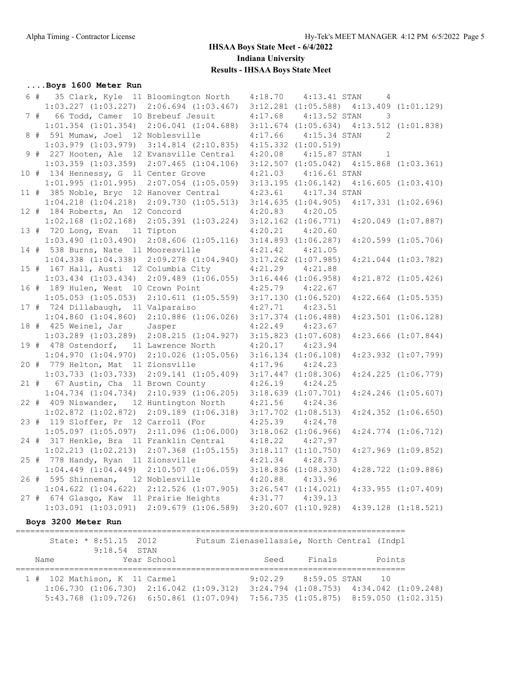#### **....Boys 1600 Meter Run**

|  | 6 # 35 Clark, Kyle 11 Bloomington North                                                         |                                                                                                 | 4:18.70  4:13.41 STAN    | $4\overline{ }$                                 |                         |
|--|-------------------------------------------------------------------------------------------------|-------------------------------------------------------------------------------------------------|--------------------------|-------------------------------------------------|-------------------------|
|  | $1:03.227$ $(1:03.227)$ $2:06.694$ $(1:03.467)$                                                 |                                                                                                 |                          | $3:12.281$ $(1:05.588)$ $4:13.409$ $(1:01.129)$ |                         |
|  | 7 # 66 Todd, Camer 10 Brebeuf Jesuit                                                            |                                                                                                 | 4:17.68  4:13.52 STAN    | $\overline{3}$                                  |                         |
|  |                                                                                                 | $1:01.354$ $(1:01.354)$ $2:06.041$ $(1:04.688)$ $3:11.674$ $(1:05.634)$ $4:13.512$ $(1:01.838)$ |                          |                                                 |                         |
|  | 8 # 591 Mumaw, Joel 12 Noblesville                                                              |                                                                                                 | 4:17.66  4:15.34 STAN    | 2                                               |                         |
|  |                                                                                                 | $1:03.979$ $(1:03.979)$ $3:14.814$ $(2:10.835)$ $4:15.332$ $(1:00.519)$                         |                          |                                                 |                         |
|  | 9 # 227 Hooten, Ale 12 Evansville Central                                                       |                                                                                                 | $4:20.08$ $4:15.87$ STAN | $\sim$ 1                                        |                         |
|  |                                                                                                 | $1:03.359$ $(1:03.359)$ $2:07.465$ $(1:04.106)$                                                 |                          | $3:12.507$ $(1:05.042)$ $4:15.868$ $(1:03.361)$ |                         |
|  | 10 # 134 Hennessy, G 11 Center Grove                                                            |                                                                                                 | 4:21.03  4:16.61 STAN    |                                                 |                         |
|  | $1:01.995$ $(1:01.995)$ $2:07.054$ $(1:05.059)$ $3:13.195$ $(1:06.142)$ $4:16.605$ $(1:03.410)$ |                                                                                                 |                          |                                                 |                         |
|  | 11 # 385 Noble, Bryc 12 Hanover Central                                                         |                                                                                                 | $4:23.61$ $4:17.34$ STAN |                                                 |                         |
|  | $1:04.218$ $(1:04.218)$ $2:09.730$ $(1:05.513)$ $3:14.635$ $(1:04.905)$                         |                                                                                                 |                          |                                                 | $4:17.331$ $(1:02.696)$ |
|  | 12 # 184 Roberts, An 12 Concord                                                                 |                                                                                                 | $4:20.83$ $4:20.05$      |                                                 |                         |
|  |                                                                                                 | $1:02.168$ $(1:02.168)$ $2:05.391$ $(1:03.224)$ $3:12.162$ $(1:06.771)$                         |                          |                                                 | $4:20.049$ $(1:07.887)$ |
|  | 13 # 720 Long, Evan 11 Tipton                                                                   |                                                                                                 | $4:20.21$ $4:20.60$      |                                                 |                         |
|  |                                                                                                 | $1:03.490$ $(1:03.490)$ $2:08.606$ $(1:05.116)$ $3:14.893$ $(1:06.287)$                         |                          |                                                 | $4:20.599$ $(1:05.706)$ |
|  | 14 # 538 Burns, Nate 11 Mooresville                                                             |                                                                                                 | $4:21.42$ $4:21.05$      |                                                 |                         |
|  |                                                                                                 | 1:04.338 (1:04.338) 2:09.278 (1:04.940) 3:17.262 (1:07.985)                                     |                          |                                                 | $4:21.044$ $(1:03.782)$ |
|  | 15 # 167 Hall, Austi 12 Columbia City                                                           |                                                                                                 | $4:21.29$ $4:21.88$      |                                                 |                         |
|  |                                                                                                 | $1:03.434$ $(1:03.434)$ $2:09.489$ $(1:06.055)$ $3:16.446$ $(1:06.958)$                         |                          |                                                 | $4:21.872$ $(1:05.426)$ |
|  | 16 # 189 Hulen, West 10 Crown Point                                                             |                                                                                                 | $4:25.79$ $4:22.67$      |                                                 |                         |
|  |                                                                                                 | $1:05.053$ $(1:05.053)$ $2:10.611$ $(1:05.559)$ $3:17.130$ $(1:06.520)$                         |                          |                                                 | $4:22.664$ $(1:05.535)$ |
|  | 17 # 724 Dillabaugh, 11 Valparaiso                                                              |                                                                                                 | $4:27.71$ $4:23.51$      |                                                 |                         |
|  | $1:04.860$ $(1:04.860)$ $2:10.886$ $(1:06.026)$ $3:17.374$ $(1:06.488)$                         |                                                                                                 |                          |                                                 | $4:23.501$ $(1:06.128)$ |
|  | 18 # 425 Weinel, Jar Jasper                                                                     |                                                                                                 | $4:22.49$ $4:23.67$      |                                                 |                         |
|  | $1:03.289$ (1:03.289) 2:08.215 (1:04.927) 3:15.823 (1:07.608)                                   |                                                                                                 |                          |                                                 | $4:23.666$ $(1:07.844)$ |
|  | 19 # 478 Ostendorf, 11 Lawrence North                                                           |                                                                                                 | $4:20.17$ $4:23.94$      |                                                 |                         |
|  |                                                                                                 | $1:04.970$ $(1:04.970)$ $2:10.026$ $(1:05.056)$ $3:16.134$ $(1:06.108)$                         |                          |                                                 | $4:23.932$ $(1:07.799)$ |
|  | 20 # 779 Helton, Mat 11 Zionsville                                                              |                                                                                                 | $4:17.96$ $4:24.23$      |                                                 |                         |
|  |                                                                                                 | $1:03.733$ $(1:03.733)$ $2:09.141$ $(1:05.409)$ $3:17.447$ $(1:08.306)$                         |                          |                                                 | $4:24.225$ $(1:06.779)$ |
|  | 21 # 67 Austin, Cha 11 Brown County                                                             |                                                                                                 | $4:26.19$ $4:24.25$      |                                                 |                         |
|  |                                                                                                 | $1:04.734$ $(1:04.734)$ $2:10.939$ $(1:06.205)$ $3:18.639$ $(1:07.701)$                         |                          |                                                 | $4:24.246$ $(1:05.607)$ |
|  | 22 # 409 Niswander, 12 Huntington North                                                         |                                                                                                 | $4:21.56$ $4:24.36$      |                                                 |                         |
|  |                                                                                                 | $1:02.872$ (1:02.872) 2:09.189 (1:06.318) 3:17.702 (1:08.513)                                   |                          |                                                 | $4:24.352$ $(1:06.650)$ |
|  | 23 # 119 Sloffer, Pr 12 Carroll (For                                                            |                                                                                                 | $4:25.39$ $4:24.78$      |                                                 |                         |
|  |                                                                                                 | $1:05.097$ (1:05.097) 2:11.096 (1:06.000) 3:18.062 (1:06.966)                                   |                          |                                                 | $4:24.774$ $(1:06.712)$ |
|  | 24 # 317 Henkle, Bra 11 Franklin Central 4:18.22 4:27.97                                        |                                                                                                 |                          |                                                 |                         |
|  |                                                                                                 | $1:02.213$ $(1:02.213)$ $2:07.368$ $(1:05.155)$ $3:18.117$ $(1:10.750)$                         |                          |                                                 | $4:27.969$ $(1:09.852)$ |
|  | 25 # 778 Handy, Ryan 11 Zionsville                                                              |                                                                                                 | $4:21.34$ $4:28.73$      |                                                 |                         |
|  | $1:04.449$ $(1:04.449)$ $2:10.507$ $(1:06.059)$ $3:18.836$ $(1:08.330)$                         |                                                                                                 |                          |                                                 | $4:28.722$ $(1:09.886)$ |
|  | 26 # 595 Shinneman, 12 Noblesville                                                              |                                                                                                 | $4:20.88$ $4:33.96$      |                                                 |                         |
|  |                                                                                                 | $1:04.622$ $(1:04.622)$ $2:12.526$ $(1:07.905)$ $3:26.547$ $(1:14.021)$                         |                          |                                                 | $4:33.955$ $(1:07.409)$ |
|  | 27 # 674 Glasgo, Kaw 11 Prairie Heights 4:31.77 4:39.13                                         |                                                                                                 |                          |                                                 |                         |
|  |                                                                                                 | $1:03.091$ $(1:03.091)$ $2:09.679$ $(1:06.589)$ $3:20.607$ $(1:10.928)$ $4:39.128$ $(1:18.521)$ |                          |                                                 |                         |
|  |                                                                                                 |                                                                                                 |                          |                                                 |                         |

#### **Boys 3200 Meter Run**

================================================================================ State: \* 8:51.15 2012 Futsum Zienasellassie, North Central (Indpl 9:18.54 STAN Name Year School Seed Finals Points ================================================================================ 1 # 102 Mathison, K 11 Carmel 9:02.29 8:59.05 STAN 10 1:06.730 (1:06.730) 2:16.042 (1:09.312) 3:24.794 (1:08.753) 4:34.042 (1:09.248) 5:43.768 (1:09.726) 6:50.861 (1:07.094) 7:56.735 (1:05.875) 8:59.050 (1:02.315)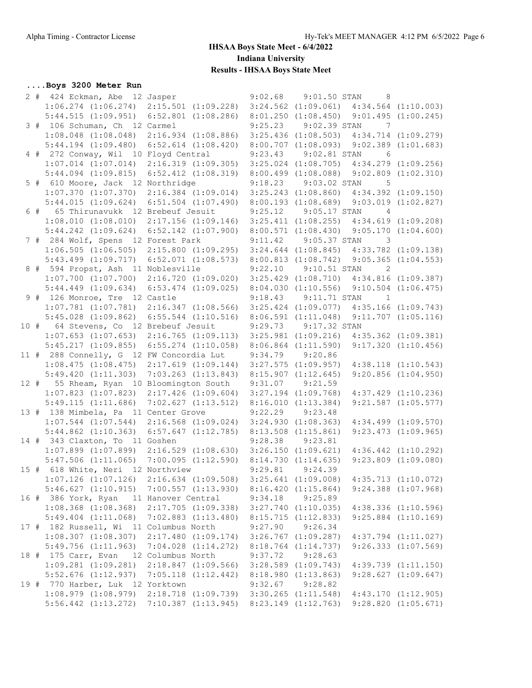## **....Boys 3200 Meter Run**

|  | 2 # 424 Eckman, Abe 12 Jasper                                                                   |                    | 9:02.68 | 9:01.50 STAN             | -8                                              |                         |
|--|-------------------------------------------------------------------------------------------------|--------------------|---------|--------------------------|-------------------------------------------------|-------------------------|
|  | $1:06.274$ $(1:06.274)$ $2:15.501$ $(1:09.228)$ $3:24.562$ $(1:09.061)$ $4:34.564$ $(1:10.003)$ |                    |         |                          |                                                 |                         |
|  | 5:44.515 (1:09.951) 6:52.801 (1:08.286) 8:01.250 (1:08.450) 9:01.495 (1:00.245)                 |                    |         |                          |                                                 |                         |
|  | 3 # 106 Schuman, Ch 12 Carmel                                                                   |                    |         | 9:25.23 9:02.39 STAN     | $\overline{7}$                                  |                         |
|  | 1:08.048 (1:08.048) 2:16.934 (1:08.886) 3:25.436 (1:08.503) 4:34.714 (1:09.279)                 |                    |         |                          |                                                 |                         |
|  | 5:44.194 (1:09.480) 6:52.614 (1:08.420) 8:00.707 (1:08.093) 9:02.389 (1:01.683)                 |                    |         |                          |                                                 |                         |
|  | 4 # 272 Conway, Wil 10 Floyd Central                                                            |                    |         | 9:23.43 9:02.81 STAN     | 6                                               |                         |
|  | 1:07.014 (1:07.014) 2:16.319 (1:09.305) 3:25.024 (1:08.705) 4:34.279 (1:09.256)                 |                    |         |                          |                                                 |                         |
|  | 5:44.094 (1:09.815) 6:52.412 (1:08.319) 8:00.499 (1:08.088) 9:02.809 (1:02.310)                 |                    |         |                          |                                                 |                         |
|  | 5 # 610 Moore, Jack 12 Northridge                                                               |                    |         | 9:18.23 9:03.02 STAN     | $5^{\circ}$                                     |                         |
|  | $1:07.370$ $(1:07.370)$ $2:16.384$ $(1:09.014)$ $3:25.243$ $(1:08.860)$ $4:34.392$ $(1:09.150)$ |                    |         |                          |                                                 |                         |
|  | 5:44.015 (1:09.624) 6:51.504 (1:07.490) 8:00.193 (1:08.689) 9:03.019 (1:02.827)                 |                    |         |                          |                                                 |                         |
|  | 6 # 65 Thirunavukk 12 Brebeuf Jesuit                                                            |                    |         | $9:25.12$ $9:05.17$ STAN | $\overline{4}$                                  |                         |
|  | $1:08.010$ $(1:08.010)$ $2:17.156$ $(1:09.146)$ $3:25.411$ $(1:08.255)$ $4:34.619$ $(1:09.208)$ |                    |         |                          |                                                 |                         |
|  | 5:44.242 (1:09.624) 6:52.142 (1:07.900) 8:00.571 (1:08.430) 9:05.170 (1:04.600)                 |                    |         |                          |                                                 |                         |
|  | 7 # 284 Wolf, Spens 12 Forest Park                                                              |                    |         | 9:11.42 9:05.37 STAN     | $\overline{\phantom{a}}$                        |                         |
|  | $1:06.505$ $(1:06.505)$ $2:15.800$ $(1:09.295)$ $3:24.644$ $(1:08.845)$ $4:33.782$ $(1:09.138)$ |                    |         |                          |                                                 |                         |
|  | 5:43.499 (1:09.717) 6:52.071 (1:08.573) 8:00.813 (1:08.742) 9:05.365 (1:04.553)                 |                    |         |                          |                                                 |                         |
|  | 8 # 594 Propst, Ash 11 Noblesville                                                              |                    |         | 9:22.10 9:10.51 STAN     | $\overline{2}$                                  |                         |
|  | $1:07.700$ $(1:07.700)$ $2:16.720$ $(1:09.020)$ $3:25.429$ $(1:08.710)$ $4:34.816$ $(1:09.387)$ |                    |         |                          |                                                 |                         |
|  | 5:44.449 (1:09.634) 6:53.474 (1:09.025) 8:04.030 (1:10.556) 9:10.504 (1:06.475)                 |                    |         |                          |                                                 |                         |
|  | 9 # 126 Monroe, Tre 12 Castle                                                                   |                    |         | 9:18.43 9:11.71 STAN     | $\overline{1}$                                  |                         |
|  | 1:07.781 (1:07.781) 2:16.347 (1:08.566) 3:25.424 (1:09.077) 4:35.166 (1:09.743)                 |                    |         |                          |                                                 |                         |
|  | 5:45.028 (1:09.862) 6:55.544 (1:10.516) 8:06.591 (1:11.048) 9:11.707 (1:05.116)                 |                    |         |                          |                                                 |                         |
|  | 10 # 64 Stevens, Co 12 Brebeuf Jesuit                                                           |                    |         | $9:29.73$ $9:17.32$ STAN |                                                 |                         |
|  | 1:07.653 (1:07.653) 2:16.765 (1:09.113) 3:25.981 (1:09.216) 4:35.362 (1:09.381)                 |                    |         |                          |                                                 |                         |
|  | $5:45.217$ $(1:09.855)$ $6:55.274$ $(1:10.058)$                                                 |                    |         |                          | $8:06.864$ $(1:11.590)$ $9:17.320$ $(1:10.456)$ |                         |
|  |                                                                                                 |                    |         | $9:34.79$ $9:20.86$      |                                                 |                         |
|  | 11 # 288 Connelly, G 12 FW Concordia Lut                                                        |                    |         |                          |                                                 |                         |
|  | $1:08.475$ $(1:08.475)$ $2:17.619$ $(1:09.144)$ $3:27.575$ $(1:09.957)$ $4:38.118$ $(1:10.543)$ |                    |         |                          |                                                 |                         |
|  | 5:49.420 (1:11.303) 7:03.263 (1:13.843) 8:15.907 (1:12.645) 9:20.856 (1:04.950)                 |                    |         |                          |                                                 |                         |
|  | 12 # 55 Rheam, Ryan 10 Bloomington South 9:31.07 9:21.59                                        |                    |         |                          |                                                 |                         |
|  | 1:07.823 (1:07.823) 2:17.426 (1:09.604) 3:27.194 (1:09.768) 4:37.429 (1:10.236)                 |                    |         |                          |                                                 |                         |
|  | 5:49.115 (1:11.686) 7:02.627 (1:13.512) 8:16.010 (1:13.384)                                     |                    |         |                          |                                                 | $9:21.587$ $(1:05.577)$ |
|  | 13 # 138 Mimbela, Pa 11 Center Grove                                                            |                    |         | $9:22.29$ $9:23.48$      |                                                 |                         |
|  | 1:07.544 (1:07.544) 2:16.568 (1:09.024) 3:24.930 (1:08.363) 4:34.499 (1:09.570)                 |                    |         |                          |                                                 |                         |
|  | 5:44.862 (1:10.363) 6:57.647 (1:12.785) 8:13.508 (1:15.861) 9:23.473 (1:09.965)                 |                    |         |                          |                                                 |                         |
|  | 14 # 343 Claxton, To 11 Goshen                                                                  |                    |         | $9:28.38$ $9:23.81$      |                                                 |                         |
|  | $1:07.899$ $(1:07.899)$ $2:16.529$ $(1:08.630)$ $3:26.150$ $(1:09.621)$ $4:36.442$ $(1:10.292)$ |                    |         |                          |                                                 |                         |
|  | 5:47.506 (1:11.065) 7:00.095 (1:12.590) 8:14.730 (1:14.635) 9:23.809 (1:09.080)                 |                    |         |                          |                                                 |                         |
|  | 15 # 618 White, Neri 12 Northview 9:29.81 9:24.39                                               |                    |         |                          |                                                 |                         |
|  | 1:07.126 (1:07.126) 2:16.634 (1:09.508) 3:25.641 (1:09.008) 4:35.713 (1:10.072)                 |                    |         |                          |                                                 |                         |
|  | $5:46.627$ $(1:10.915)$ $7:00.557$ $(1:13.930)$                                                 |                    |         | 8:16.420(1:15.864)       |                                                 | $9:24.388$ $(1:07.968)$ |
|  | 16 # 386 York, Ryan 11 Hanover Central                                                          |                    | 9:34.18 | 9:25.89                  |                                                 |                         |
|  | $1:08.368$ $(1:08.368)$ $2:17.705$ $(1:09.338)$                                                 |                    |         | $3:27.740$ $(1:10.035)$  |                                                 | $4:38.336$ $(1:10.596)$ |
|  | $5:49.404$ $(1:11.068)$ $7:02.883$ $(1:13.480)$                                                 |                    |         | 8:15.715(1:12.833)       |                                                 | $9:25.884$ $(1:10.169)$ |
|  | 17 # 182 Russell, Wi 11 Columbus North                                                          |                    |         | $9:27.90$ $9:26.34$      |                                                 |                         |
|  | $1:08.307$ $(1:08.307)$ $2:17.480$ $(1:09.174)$                                                 |                    |         | $3:26.767$ $(1:09.287)$  |                                                 | $4:37.794$ $(1:11.027)$ |
|  | $5:49.756$ $(1:11.963)$ $7:04.028$ $(1:14.272)$                                                 |                    |         | $8:18.764$ $(1:14.737)$  |                                                 | 9:26.333(1:07.569)      |
|  | 18 # 175 Carr, Evan 12 Columbus North                                                           |                    | 9:37.72 | 9:28.63                  |                                                 |                         |
|  | $1:09.281$ $(1:09.281)$                                                                         | 2:18.847(1:09.566) |         | $3:28.589$ $(1:09.743)$  |                                                 | 4:39.739(1:11.150)      |
|  | $5:52.676$ $(1:12.937)$ $7:05.118$ $(1:12.442)$                                                 |                    |         | 8:18.980 (1:13.863)      |                                                 | $9:28.627$ $(1:09.647)$ |
|  | 19 # 770 Harber, Luk 12 Yorktown                                                                |                    |         | $9:32.67$ $9:28.82$      |                                                 |                         |
|  | $1:08.979$ $(1:08.979)$ $2:18.718$ $(1:09.739)$ $3:30.265$ $(1:11.548)$                         |                    |         |                          |                                                 | 4:43.170(1:12.905)      |
|  | 5:56.442 (1:13.272) 7:10.387 (1:13.945) 8:23.149 (1:12.763) 9:28.820 (1:05.671)                 |                    |         |                          |                                                 |                         |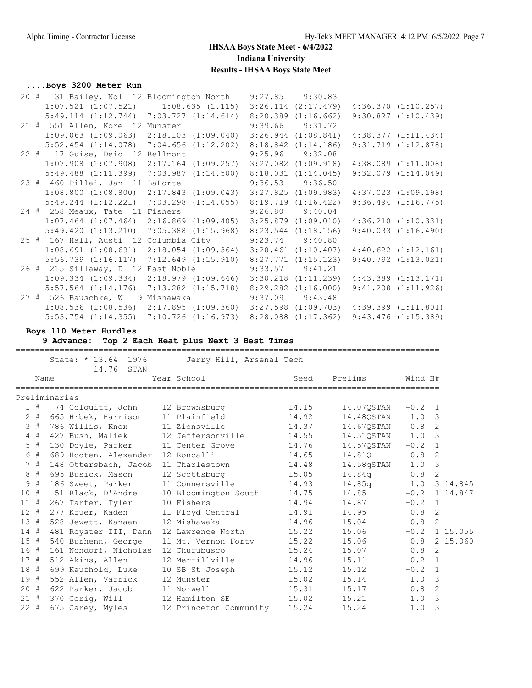## **....Boys 3200 Meter Run**

|  |                                                                                                 | 20 # 31 Bailey, Nol 12 Bloomington North 9:27.85 9:30.83 |  |                         |
|--|-------------------------------------------------------------------------------------------------|----------------------------------------------------------|--|-------------------------|
|  | $1:07.521$ $(1:07.521)$ $1:08.635$ $(1.115)$ $3:26.114$ $(2:17.479)$ $4:36.370$ $(1:10.257)$    |                                                          |  |                         |
|  | $5:49.114$ $(1:12.744)$ $7:03.727$ $(1:14.614)$ $8:20.389$ $(1:16.662)$                         |                                                          |  | 9:30.827(1:10.439)      |
|  | 21 # 551 Allen, Kore 12 Munster 9:39.66 9:31.72                                                 |                                                          |  |                         |
|  | $1:09.063$ (1:09.063) $2:18.103$ (1:09.040) $3:26.944$ (1:08.841) $4:38.377$ (1:11.434)         |                                                          |  |                         |
|  | $5:52.454$ $(1:14.078)$ $7:04.656$ $(1:12.202)$ $8:18.842$ $(1:14.186)$                         |                                                          |  | 9:31.719(1:12.878)      |
|  | 22 # 17 Guise, Deio 12 Bellmont 9:25.96 9:32.08                                                 |                                                          |  |                         |
|  | $1:07.908$ $(1:07.908)$ $2:17.164$ $(1:09.257)$ $3:27.082$ $(1:09.918)$ $4:38.089$ $(1:11.008)$ |                                                          |  |                         |
|  | $5:49.488$ (1:11.399) 7:03.987 (1:14.500) 8:18.031 (1:14.045)                                   |                                                          |  | $9:32.079$ $(1:14.049)$ |
|  | 23 # 460 Pillai, Jan 11 LaPorte 9:36.53 9:36.50                                                 |                                                          |  |                         |
|  | 1:08.800 (1:08.800) 2:17.843 (1:09.043) 3:27.825 (1:09.983) 4:37.023 (1:09.198)                 |                                                          |  |                         |
|  | $5:49.244$ $(1:12.221)$ $7:03.298$ $(1:14.055)$ $8:19.719$ $(1:16.422)$                         |                                                          |  | $9:36.494$ $(1:16.775)$ |
|  | 24 # 258 Meaux, Tate 11 Fishers 9:26.80 9:40.04                                                 |                                                          |  |                         |
|  | $1:07.464$ $(1:07.464)$ $2:16.869$ $(1:09.405)$ $3:25.879$ $(1:09.010)$ $4:36.210$ $(1:10.331)$ |                                                          |  |                         |
|  | $5:49.420$ $(1:13.210)$ $7:05.388$ $(1:15.968)$ $8:23.544$ $(1:18.156)$                         |                                                          |  | 9:40.033(1:16.490)      |
|  | 25 # 167 Hall, Austi 12 Columbia City 9:23.74 9:40.80                                           |                                                          |  |                         |
|  | $1:08.691$ $(1:08.691)$ $2:18.054$ $(1:09.364)$ $3:28.461$ $(1:10.407)$ $4:40.622$ $(1:12.161)$ |                                                          |  |                         |
|  | $5:56.739$ $(1:16.117)$ $7:12.649$ $(1:15.910)$ $8:27.771$ $(1:15.123)$                         |                                                          |  | $9:40.792$ $(1:13.021)$ |
|  | 26 # 215 Sillaway, D 12 East Noble 9:33.57 9:41.21                                              |                                                          |  |                         |
|  | $1:09.334$ (1:09.334) 2:18.979 (1:09.646) 3:30.218 (1:11.239) 4:43.389 (1:13.171)               |                                                          |  |                         |
|  | $5:57.564$ (1:14.176) 7:13.282 (1:15.718) 8:29.282 (1:16.000)                                   |                                                          |  | $9:41.208$ $(1:11.926)$ |
|  | 27 # 526 Bauschke, W 9 Mishawaka 9:37.09 9:43.48                                                |                                                          |  |                         |
|  | 1:08.536 (1:08.536) 2:17.895 (1:09.360) 3:27.598 (1:09.703) 4:39.399 (1:11.801)                 |                                                          |  |                         |
|  | 5:53.754 (1:14.355) 7:10.726 (1:16.973) 8:28.088 (1:17.362) 9:43.476 (1:15.389)                 |                                                          |  |                         |

**Boys 110 Meter Hurdles**

**9 Advance: Top 2 Each Heat plus Next 3 Best Times**

|     | ==========================<br>=====================================<br>State: * 13.64 1976<br>Jerry Hill, Arsenal Tech |                                          |  |                      |       |                  |                  |   |  |  |  |
|-----|------------------------------------------------------------------------------------------------------------------------|------------------------------------------|--|----------------------|-------|------------------|------------------|---|--|--|--|
|     |                                                                                                                        | 14.76 STAN<br>Name                       |  | Year School          | Seed  | Prelims          | Wind H#          |   |  |  |  |
|     |                                                                                                                        | Preliminaries                            |  |                      |       |                  |                  |   |  |  |  |
|     |                                                                                                                        | 1 # 74 Colquitt, John 12 Brownsburg      |  |                      | 14.15 | 14.07OSTAN       | $-0.2 \quad 1$   |   |  |  |  |
|     |                                                                                                                        | 2 # 665 Hrbek, Harrison 11 Plainfield    |  |                      | 14.92 | 14.48QSTAN 1.0 3 |                  |   |  |  |  |
|     |                                                                                                                        | 3 # 786 Willis, Knox                     |  | 11 Zionsville        | 14.37 | 14.670STAN       | $0.8$ 2          |   |  |  |  |
|     |                                                                                                                        | 4 # 427 Bush, Maliek 12 Jeffersonville   |  |                      | 14.55 | 14.51OSTAN       | $1.0 \quad 3$    |   |  |  |  |
|     |                                                                                                                        | 5 # 130 Doyle, Parker 11 Center Grove    |  |                      | 14.76 | 14.570STAN       | $-0.2 \quad 1$   |   |  |  |  |
|     | 6 #                                                                                                                    | 689 Hooten, Alexander                    |  | 12 Roncalli          | 14.65 | 14.810           | $0.8 \quad 2$    |   |  |  |  |
|     | 7#                                                                                                                     | 148 Ottersbach, Jacob                    |  | 11 Charlestown       | 14.48 | 14.58qSTAN       | $1.0-3$          |   |  |  |  |
|     |                                                                                                                        | 8 # 695 Busick, Mason                    |  | 12 Scottsburg        | 15.05 | 14.84q           | $0.8$ 2          |   |  |  |  |
|     | 9#                                                                                                                     | 186 Sweet, Parker                        |  | 11 Connersville      | 14.93 | 14.85q           | 1.0 3 14.845     |   |  |  |  |
| 10# |                                                                                                                        | 51 Black, D'Andre                        |  | 10 Bloomington South | 14.75 | 14.85            | $-0.2$ 1 14.847  |   |  |  |  |
|     |                                                                                                                        | 11 # 267 Tarter, Tyler                   |  | 10 Fishers           | 14.94 | 14.87            | $-0.2$ 1         |   |  |  |  |
|     |                                                                                                                        | 12 # 277 Kruer, Kaden 11 Floyd Central   |  |                      | 14.91 | 14.95            | $0.8 \quad 2$    |   |  |  |  |
|     | 13#                                                                                                                    | 528 Jewett, Kanaan 12 Mishawaka          |  |                      | 14.96 | 15.04            | $0.8$ 2          |   |  |  |  |
|     | 14#                                                                                                                    | 481 Royster III, Dann                    |  | 12 Lawrence North    | 15.22 | 15.06            | $-0.2$ 1 15.055  |   |  |  |  |
|     |                                                                                                                        | 15 # 540 Burhenn, George                 |  | 11 Mt. Vernon Fortv  | 15.22 | 15.06            | $0.8$ 2 15.060   |   |  |  |  |
|     |                                                                                                                        | 16 # 161 Nondorf, Nicholas 12 Churubusco |  |                      | 15.24 | 15.07            | $0.8$ 2          |   |  |  |  |
|     |                                                                                                                        | 17 # 512 Akins, Allen                    |  | 12 Merrillville      | 14.96 | 15.11            | $-0.2 \quad 1$   |   |  |  |  |
|     |                                                                                                                        | 18 # 699 Kaufhold, Luke 10 SB St Joseph  |  |                      | 15.12 | 15.12            | $-0.2 \quad 1$   |   |  |  |  |
|     |                                                                                                                        | 19 # 552 Allen, Varrick                  |  | 12 Munster           | 15.02 | 15.14            | $1.0 \quad 3$    |   |  |  |  |
|     |                                                                                                                        | 20 # 622 Parker, Jacob 11 Norwell        |  |                      | 15.31 | 15.17            | 0.8 <sub>2</sub> |   |  |  |  |
|     |                                                                                                                        | 21 # 370 Gerig, Will 12 Hamilton SE      |  |                      | 15.02 | 15.21            | $1.0 \quad 3$    |   |  |  |  |
|     | $22 \neq$                                                                                                              | 675 Carey, Myles 12 Princeton Community  |  |                      | 15.24 | 15.24            | 1.0              | 3 |  |  |  |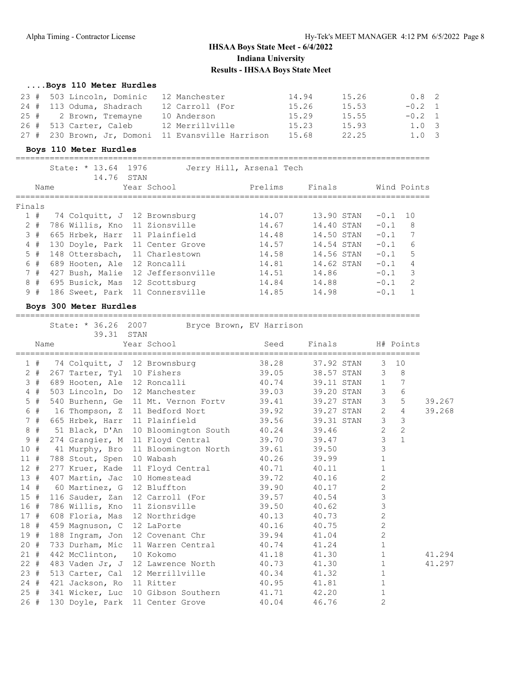#### **....Boys 110 Meter Hurdles**

| 23 # 503 Lincoln, Dominic | 12 Manchester                                     | 14.94 | 15.26 | $0.8$ 2        |  |
|---------------------------|---------------------------------------------------|-------|-------|----------------|--|
| 24 # 113 Oduma, Shadrach  | 12 Carroll (For                                   | 15.26 | 15.53 | $-0.2$ 1       |  |
| 25 # 2 Brown, Tremayne    | 10 Anderson                                       | 15.29 | 15.55 | $-0.2 \quad 1$ |  |
| 26 # 513 Carter, Caleb    | 12 Merrillville                                   | 15.23 | 15.93 | $1.0 \quad 3$  |  |
|                           | 27 # 230 Brown, Jr, Domoni 11 Evansville Harrison | 15.68 | 22.25 | $1.0 \quad 3$  |  |

#### **Boys 110 Meter Hurdles**

=====================================================================================

|        |       | State: $* 13.64$ | 14.76 | 1976<br>STAN |                                   | Jerry Hill, Arsenal Tech |            |        |                |
|--------|-------|------------------|-------|--------------|-----------------------------------|--------------------------|------------|--------|----------------|
|        | Name  |                  |       |              | Year School                       | Prelims                  | Finals     |        | Wind Points    |
| Finals |       |                  |       |              |                                   |                          |            |        |                |
|        | 1#    |                  |       |              | 74 Colquitt, J 12 Brownsburg      | 14.07                    | 13.90 STAN | $-0.1$ | 10             |
|        | $2 +$ |                  |       |              | 786 Willis, Kno 11 Zionsville     | 14.67                    | 14.40 STAN | $-0.1$ | - 8            |
|        | 3#    |                  |       |              | 665 Hrbek, Harr 11 Plainfield     | 14.48                    | 14.50 STAN | $-0.1$ | 7              |
|        | 4#    |                  |       |              | 130 Doyle, Park 11 Center Grove   | 14.57                    | 14.54 STAN | $-0.1$ | 6              |
|        | 5#    |                  |       |              | 148 Ottersbach, 11 Charlestown    | 14.58                    | 14.56 STAN | $-0.1$ | 5              |
|        | 6#    |                  |       |              | 689 Hooten, Ale 12 Roncalli       | 14.81                    | 14.62 STAN | $-0.1$ | 4              |
|        | 7#    |                  |       |              | 427 Bush, Malie 12 Jeffersonville | 14.51                    | 14.86      | $-0.1$ | 3              |
|        | 8#    | 695 Busick, Mas  |       |              | 12 Scottsburg                     | 14.84                    | 14.88      | $-0.1$ | $\overline{2}$ |
|        | 9#    | 186 Sweet, Park  |       |              | 11 Connersville                   | 14.85                    | 14.98      | $-0.1$ | 1              |
|        |       |                  |       |              |                                   |                          |            |        |                |

#### **Boys 300 Meter Hurdles**

===================================================================================

State: \* 36.26 2007 Bryce Brown, EV Harrison

|        |      | 39.31                         | STAN |                                                      |       |                  |                |                |        |
|--------|------|-------------------------------|------|------------------------------------------------------|-------|------------------|----------------|----------------|--------|
|        | Name |                               |      | Year School and the School                           | Seed  | Finals           |                | H# Points      |        |
|        |      |                               |      | 1 # 74 Colquitt, J 12 Brownsburg 38.28 37.92 STAN    |       |                  | 3              | 10             |        |
| $2 +$  |      | 267 Tarter, Tyl 10 Fishers    |      |                                                      |       | 39.05 38.57 STAN |                | $3 \quad 8$    |        |
| 3#     |      |                               |      | 689 Hooten, Ale 12 Roncalli 40.74 39.11 STAN         |       |                  | $\mathbf{1}$   | 7              |        |
| 4#     |      |                               |      | 503 Lincoln, Do 12 Manchester 39.03 39.20 STAN       |       |                  | 3              | 6              |        |
| 5#     |      |                               |      | 540 Burhenn, Ge 11 Mt. Vernon Fortv 39.41 39.27 STAN |       |                  | $\mathcal{S}$  | 5              | 39.267 |
| 6 #    |      |                               |      | 16 Thompson, Z 11 Bedford Nort 39.92 39.27 STAN      |       |                  | $\overline{2}$ | $\overline{4}$ | 39.268 |
| 7#     |      | 665 Hrbek, Harr 11 Plainfield |      |                                                      |       | 39.56 39.31 STAN | $\mathcal{S}$  | 3              |        |
| 8#     |      |                               |      | 51 Black, D'An 10 Bloomington South 40.24 39.46      |       |                  | $\overline{2}$ | $\overline{2}$ |        |
| 9#     |      |                               |      | 274 Grangier, M 11 Floyd Central                     |       | 39.70 39.47      | $\mathcal{S}$  | $\mathbf{1}$   |        |
| 10#    |      | 41 Murphy, Bro                |      | 11 Bloomington North 39.61 39.50                     |       |                  | $\mathfrak{Z}$ |                |        |
| 11#    |      | 788 Stout, Spen               |      | 10 Wabash                                            |       | 40.26 39.99      | $\mathbf{1}$   |                |        |
| 12#    |      | 277 Kruer, Kade               |      | 11 Floyd Central 40.71 40.11                         |       |                  | $\mathbf{1}$   |                |        |
| 13#    |      |                               |      | 407 Martin, Jac 10 Homestead 39.72 40.16             |       |                  | $\mathbf{2}$   |                |        |
|        |      |                               |      | 14 # 60 Martinez, G 12 Bluffton 39.90                |       | 40.17            | $\overline{c}$ |                |        |
| 15#    |      |                               |      | 116 Sauder, Zan 12 Carroll (For 39.57 40.54          |       |                  | $\mathfrak{Z}$ |                |        |
| 16#    |      |                               |      | 786 Willis, Kno 11 Zionsville 39.50 40.62            |       |                  | 3              |                |        |
| 17#    |      |                               |      | 608 Floria, Mas 12 Northridge 40.13                  |       | 40.73            | $\mathbf{2}$   |                |        |
| 18#    |      | 459 Magnuson, C 12 LaPorte    |      |                                                      | 40.16 | 40.75            | $\mathbf{2}$   |                |        |
| 19#    |      |                               |      | 188 Ingram, Jon 12 Covenant Chr 39.94                |       | 41.04            | $\overline{c}$ |                |        |
| 20#    |      |                               |      | 733 Durham, Mic 11 Warren Central 40.74              |       | 41.24            | $\mathbf{1}$   |                |        |
| 21#    |      | 442 McClinton,                |      | 10 Kokomo                                            | 41.18 | 41.30            | $\mathbf{1}$   |                | 41.294 |
| $22 +$ |      |                               |      | 483 Vaden Jr, J 12 Lawrence North 40.73 41.30        |       |                  | $\mathbf{1}$   |                | 41.297 |
| 23#    |      |                               |      | 513 Carter, Cal 12 Merrillville 40.34                |       | 41.32            | $\mathbf{1}$   |                |        |
| 24#    |      | 421 Jackson, Ro 11 Ritter     |      |                                                      | 40.95 | 41.81            | $\mathbf{1}$   |                |        |
|        |      |                               |      | 25 # 341 Wicker, Luc 10 Gibson Southern 41.71 42.20  |       |                  | $\mathbf{1}$   |                |        |
| 26#    |      |                               |      | 130 Doyle, Park 11 Center Grove 40.04                |       | 46.76            | $\overline{2}$ |                |        |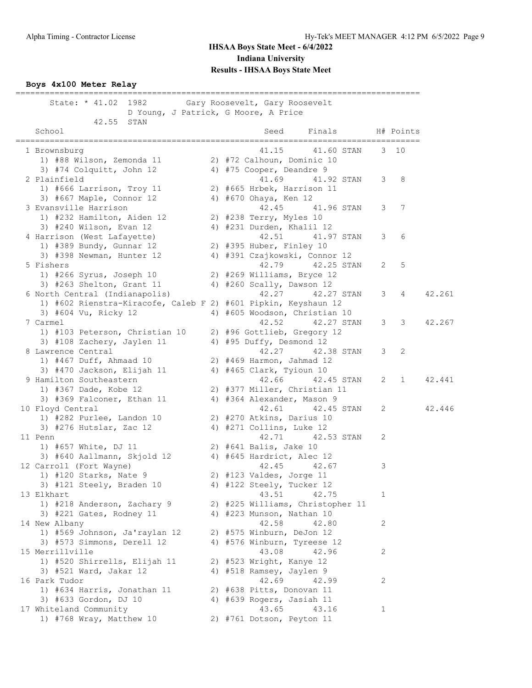#### **Boys 4x100 Meter Relay**

=================================================================================== State: \* 41.02 1982 Gary Roosevelt, Gary Roosevelt D Young, J Patrick, G Moore, A Price 42.55 STAN School School Seed Finals H# Points =================================================================================== 1 Brownsburg 41.15 41.60 STAN 3 10 1) #88 Wilson, Zemonda 11 2) #72 Calhoun, Dominic 10 3) #74 Colquitt, John 12 4) #75 Cooper, Deandre 9 2 Plainfield 41.69 41.92 STAN 3 8 1) #666 Larrison, Troy 11 2) #665 Hrbek, Harrison 11 3) #667 Maple, Connor 12 4) #670 Ohaya, Ken 12 3 Evansville Harrison 42.45 41.96 STAN 3 7 1) #232 Hamilton, Aiden 12 2) #238 Terry, Myles 10 3) #240 Wilson, Evan 12 4) #231 Durden, Khalil 12 4 Harrison (West Lafayette) 42.51 41.97 STAN 3 6 1) #389 Bundy, Gunnar 12 2) #395 Huber, Finley 10 3) #398 Newman, Hunter 12 4) #391 Czajkowski, Connor 12 5 Fishers 42.79 42.25 STAN 2 5 1) #266 Syrus, Joseph 10 2) #269 Williams, Bryce 12 3) #263 Shelton, Grant 11 4) #260 Scally, Dawson 12 6 North Central (Indianapolis) 42.27 42.27 STAN 3 4 42.261 1) #602 Rienstra-Kiracofe, Caleb F 2) #601 Pipkin, Keyshaun 12 3) #604 Vu, Ricky 12 (4) #605 Woodson, Christian 10<br>Carmel (42.52 42.27 STAN 3 3 42.267 7 Carmel 42.52 42.27 STAN 3 3 42.267 1) #103 Peterson, Christian 10 2) #96 Gottlieb, Gregory 12 3) #108 Zachery, Jaylen 11 4) #95 Duffy, Desmond 12 8 Lawrence Central 2012 12:27 42.38 STAN 3 2 1) #467 Duff, Ahmaad 10 2) #469 Harmon, Jahmad 12 3) #470 Jackson, Elijah 11 4) #465 Clark, Tyioun 10 9 Hamilton Southeastern 42.66 42.45 STAN 2 1 42.441 1) #367 Dade, Kobe 12 2) #377 Miller, Christian 11 3) #369 Falconer, Ethan 11 4) #364 Alexander, Mason 9 10 Floyd Central 42.61 42.45 STAN 2 42.446 1) #282 Purlee, Landon 10 2) #270 Atkins, Darius 10 3) #276 Hutslar, Zac 12 4) #271 Collins, Luke 12 11 Penn 2 2.53 STAN 2 1) #657 White, DJ 11 2) #641 Balis, Jake 10 3) #640 Aallmann, Skjold 12 4) #645 Hardrict, Alec 12 12 Carroll (Fort Wayne) 3 3 42.45 42.67 3 1) #120 Starks, Nate 9 2) #123 Valdes, Jorge 11 3) #121 Steely, Braden 10 4) #122 Steely, Tucker 12 13 Elkhart 13 Alexander 13 Alexander 13 Alexander 13 Alexander 13 Alexander 13 Alexander 13 Alexander 13 Alexander 1 1) #218 Anderson, Zachary 9 2) #225 Williams, Christopher 11 3) #221 Gates, Rodney 11 4) #223 Munson, Nathan 10 14 New Albany 42.58 42.80 2 1) #569 Johnson, Ja'raylan 12 2) #575 Winburn, DeJon 12 3) #573 Simmons, Derell 12 4) #576 Winburn, Tyreese 12 15 Merrillville 43.08 42.96 2 1) #520 Shirrells, Elijah 11 2) #523 Wright, Kanye 12 3) #521 Ward, Jakar 12 4) #518 Ramsey, Jaylen 9 16 Park Tudor 16 20 20 21 22.69 22.69 22.99 22 1) #634 Harris, Jonathan 11 2) #638 Pitts, Donovan 11 3) #633 Gordon, DJ 10 4) #639 Rogers, Jasiah 11 17 Whiteland Community 13.65 43.16 1 1) #768 Wray, Matthew 10 2) #761 Dotson, Peyton 11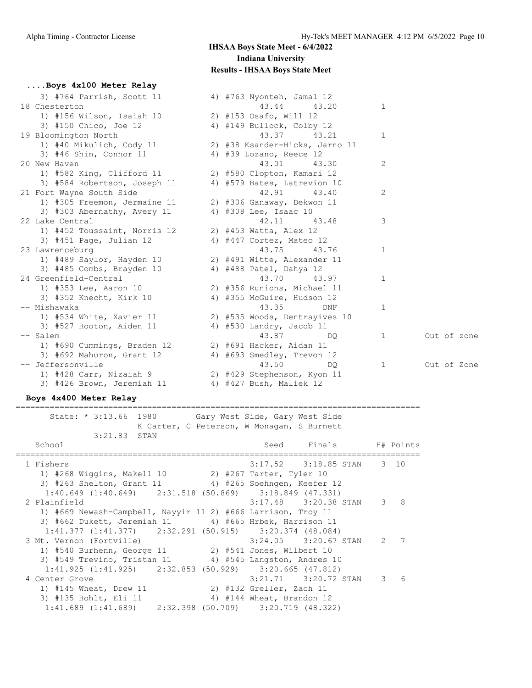**....Boys 4x100 Meter Relay**

| 3) #764 Parrish, Scott 11    | 4) #763 Nyonteh, Jamal 12      |   |             |
|------------------------------|--------------------------------|---|-------------|
| 18 Chesterton                | 43.44<br>43.20                 | 1 |             |
| 1) #156 Wilson, Isaiah 10    | 2) #153 Osafo, Will 12         |   |             |
| 3) #150 Chico, Joe 12        | 4) #149 Bullock, Colby 12      |   |             |
| 19 Bloomington North         | 43.37<br>43.21                 | 1 |             |
| 1) #40 Mikulich, Cody 11     | 2) #38 Ksander-Hicks, Jarno 11 |   |             |
| 3) #46 Shin, Connor 11       | 4) #39 Lozano, Reece 12        |   |             |
| 20 New Haven                 | 43.01<br>43.30                 | 2 |             |
| 1) #582 King, Clifford 11    | 2) #580 Clopton, Kamari 12     |   |             |
| 3) #584 Robertson, Joseph 11 | 4) #579 Bates, Latrevion 10    |   |             |
| 21 Fort Wayne South Side     | 42.91<br>43.40                 | 2 |             |
| 1) #305 Freemon, Jermaine 11 | 2) #306 Ganaway, Dekwon 11     |   |             |
| 3) #303 Abernathy, Avery 11  | 4) #308 Lee, Isaac 10          |   |             |
| 22 Lake Central              | 42.11<br>43.48                 | 3 |             |
| 1) #452 Toussaint, Norris 12 | 2) #453 Watta, Alex 12         |   |             |
| $3)$ #451 Page, Julian 12    | 4) #447 Cortez, Mateo 12       |   |             |
| 23 Lawrenceburg              | 43.75<br>43.76                 | 1 |             |
| 1) #489 Saylor, Hayden 10    | 2) #491 Witte, Alexander 11    |   |             |
| 3) #485 Combs, Brayden 10    | 4) #488 Patel, Dahya 12        |   |             |
| 24 Greenfield-Central        | 43.70<br>43.97                 | 1 |             |
| 1) #353 Lee, Aaron 10        | 2) #356 Runions, Michael 11    |   |             |
| 3) #352 Knecht, Kirk 10      | 4) #355 McGuire, Hudson 12     |   |             |
| -- Mishawaka                 | 43.35<br>DNF                   | 1 |             |
| 1) #534 White, Xavier 11     | 2) #535 Woods, Dentrayives 10  |   |             |
| 3) #527 Hooton, Aiden 11     | 4) #530 Landry, Jacob 11       |   |             |
| -- Salem                     | 43.87<br>DO.                   | 1 | Out of zone |
| 1) #690 Cummings, Braden 12  | 2) #691 Hacker, Aidan 11       |   |             |
| 3) #692 Mahuron, Grant 12    | 4) #693 Smedley, Trevon 12     |   |             |
| -- Jeffersonville            | 43.50<br>DO                    | 1 | Out of Zone |
| 1) #428 Carr, Nizaiah 9      | 2) #429 Stephenson, Kyon 11    |   |             |
| 3) #426 Brown, Jeremiah 11   | 4) #427 Bush, Maliek 12        |   |             |

#### **Boys 4x400 Meter Relay**

===================================================================================

 State: \* 3:13.66 1980 Gary West Side, Gary West Side K Carter, C Peterson, W Monagan, S Burnett

| 3:21.83 STAN                                                        |                           |               |   |
|---------------------------------------------------------------------|---------------------------|---------------|---|
| School                                                              | Seed Finals H# Points     |               |   |
| 1 Fishers                                                           | 3:17.52 3:18.85 STAN 3 10 |               |   |
| 1) #268 Wiggins, Makell 10 2) #267 Tarter, Tyler 10                 |                           |               |   |
| 3) #263 Shelton, Grant 11 4) #265 Soehngen, Keefer 12               |                           |               |   |
| $1:40.649$ $(1:40.649)$ $2:31.518$ $(50.869)$ $3:18.849$ $(47.331)$ |                           |               |   |
| 2 Plainfield                                                        | $3:17.48$ $3:20.38$ STAN  | $\mathcal{E}$ | 8 |
| 1) #669 Newash-Campbell, Nayyir 11 2) #666 Larrison, Troy 11        |                           |               |   |
| 3) #662 Dukett, Jeremiah 11 4) #665 Hrbek, Harrison 11              |                           |               |   |
| $1:41.377$ $(1:41.377)$ $2:32.291$ $(50.915)$ $3:20.374$ $(48.084)$ |                           |               |   |
| 3 Mt. Vernon (Fortville)                                            | $3:24.05$ $3:20.67$ STAN  | 2             | 7 |
| 1) #540 Burhenn, George 11 2) #541 Jones, Wilbert 10                |                           |               |   |
| 3) #549 Trevino, Tristan 11 4) #545 Langston, Andres 10             |                           |               |   |
| $1:41.925$ $(1:41.925)$ $2:32.853$ $(50.929)$ $3:20.665$ $(47.812)$ |                           |               |   |
| 4 Center Grove                                                      | $3:21.71$ $3:20.72$ STAN  | 3             | 6 |
| 1) #145 Wheat, Drew 11                                              | 2) #132 Greller, Zach 11  |               |   |
| 3) #135 Hohlt, Eli 11                                               | 4) #144 Wheat, Brandon 12 |               |   |
| $1:41.689$ $(1:41.689)$ $2:32.398$ $(50.709)$ $3:20.719$ $(48.322)$ |                           |               |   |
|                                                                     |                           |               |   |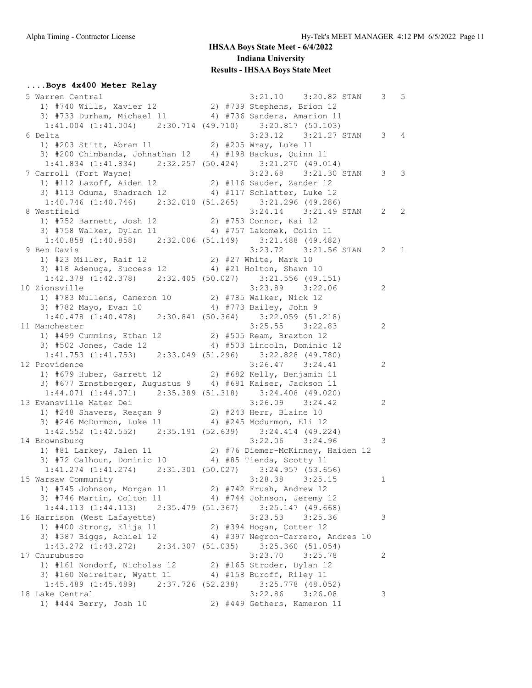## **....Boys 4x400 Meter Relay**

| Varren Central (1998)<br>19 1/20082 19 1/2009 1/2010 1/2010 1/3009 1/3009 1/3009 1/3009 1/3009 1/3009 1/3009 1/3009 1/3009 1/3009 1/30<br>19 1/3009 1/3009 1/3009 1/4/3609 1/4/3609 1/4/3609 1/4/3609 1/4/3609 1/4/3609 1/4/3609 1/4<br>5 Warren Central | 3:21.10 3:20.82 STAN 3 5                                                                                         |              |  |
|----------------------------------------------------------------------------------------------------------------------------------------------------------------------------------------------------------------------------------------------------------|------------------------------------------------------------------------------------------------------------------|--------------|--|
| $1:41.004$ $(1:41.004)$ $2:30.714$ $(49.710)$ $3:20.817$ $(50.103)$                                                                                                                                                                                      |                                                                                                                  |              |  |
| 6 Delta                                                                                                                                                                                                                                                  | 3:23.12 3:21.27 STAN 3 4                                                                                         |              |  |
| 3:23.12 3:2<br>1) #203 Stitt, Abram 11 2) #205 Wray, Luke 11<br>3) #300 Stitl, Abram 11 2) #205 Wray, Luke 11                                                                                                                                            |                                                                                                                  |              |  |
| 3) #200 Chimbanda, Johnathan $12$ 4) #198 Backus, Quinn $11$                                                                                                                                                                                             |                                                                                                                  |              |  |
| $1:41.834$ $(1:41.834)$ $2:32.257$ $(50.424)$ $3:21.270$ $(49.014)$                                                                                                                                                                                      |                                                                                                                  |              |  |
| 7 Carroll (Fort Wayne)                                                                                                                                                                                                                                   | $3:23.68$ $3:21.30$ STAN                                                                                         | $3 \quad 3$  |  |
| arroll (Fort Wayne) 3:23.68 3:21.30<br>1) #112 Lazoff, Aiden 12 3 4116 Sauder, Zander 12                                                                                                                                                                 |                                                                                                                  |              |  |
| 3) #113 Oduma, Shadrach 12 4) #117 Schlatter, Luke 12                                                                                                                                                                                                    |                                                                                                                  |              |  |
| $1:40.746$ (1:40.746) $2:32.010$ (51.265) $3:21.296$ (49.286)                                                                                                                                                                                            |                                                                                                                  |              |  |
| 8 Westfield                                                                                                                                                                                                                                              | $3:24.14$ $3:21.49$ STAN 2 2                                                                                     |              |  |
| 1) #752 Barnett, Josh 12<br>3) #758 Walker, Dylan 11 (4) #757 Lakomek, Colin 11                                                                                                                                                                          |                                                                                                                  |              |  |
|                                                                                                                                                                                                                                                          |                                                                                                                  |              |  |
| $1:40.858$ (1:40.858) $2:32.006$ (51.149) $3:21.488$ (49.482)                                                                                                                                                                                            |                                                                                                                  |              |  |
| 9 Ben Davis                                                                                                                                                                                                                                              | 3:23.72 3:21.56 STAN 2 1                                                                                         |              |  |
| 3:23.72 3:2<br>1) #23 Miller, Raif 12 2) #27 White, Mark 10<br>3) #18 Monume Our 10                                                                                                                                                                      |                                                                                                                  |              |  |
| 3) #18 Adenuga, Success 12 4) #21 Holton, Shawn 10                                                                                                                                                                                                       |                                                                                                                  |              |  |
| $1:42.378$ $(1:42.378)$ $2:32.405$ $(50.027)$ $3:21.556$ $(49.151)$                                                                                                                                                                                      |                                                                                                                  |              |  |
| 10 Zionsville                                                                                                                                                                                                                                            | $3:23.89$ $3:22.06$<br>$\overline{\phantom{a}}$                                                                  |              |  |
| 1) #783 Mullens, Cameron 10 2) #785 Walker, Nick 12                                                                                                                                                                                                      |                                                                                                                  |              |  |
| 3) #782 Mayo, Evan 10 4) #773 Bailey, John 9                                                                                                                                                                                                             |                                                                                                                  |              |  |
| $1:40.478$ $(1:40.478)$ $2:30.841$ $(50.364)$ $3:22.059$ $(51.218)$                                                                                                                                                                                      |                                                                                                                  |              |  |
| 11 Manchester                                                                                                                                                                                                                                            |                                                                                                                  | 2            |  |
|                                                                                                                                                                                                                                                          | $3:25.55$ $3:22.83$                                                                                              |              |  |
| 1) #499 Cummins, Ethan 12<br>3) #502 Jones, Cade 12 (4) #503 Lincoln, Dominic 12                                                                                                                                                                         |                                                                                                                  |              |  |
|                                                                                                                                                                                                                                                          |                                                                                                                  |              |  |
| $1:41.753 (1:41.753) 2:33.049 (51.296) 3:22.828 (49.780)$                                                                                                                                                                                                |                                                                                                                  |              |  |
| 12 Providence<br>11 xovidence 3:26.47 3:24.41<br>1) #679 Huber, Garrett 12 2) #682 Kelly, Benjamin 11                                                                                                                                                    | $3:26.47$ $3:24.41$                                                                                              | 2            |  |
|                                                                                                                                                                                                                                                          |                                                                                                                  |              |  |
| 3) #677 Ernstberger, Augustus 9 4) #681 Kaiser, Jackson 11                                                                                                                                                                                               |                                                                                                                  |              |  |
| $1:44.071$ $(1:44.071)$ $2:35.389$ $(51.318)$ $3:24.408$ $(49.020)$                                                                                                                                                                                      |                                                                                                                  |              |  |
| 13 Evansville Mater Dei 3:26.09 3:24.4<br>1) #248 Shavers, Reagan 9 2) #243 Herr, Blaine 10                                                                                                                                                              | $3:26.09$ $3:24.42$                                                                                              | 2            |  |
|                                                                                                                                                                                                                                                          |                                                                                                                  |              |  |
| 3) #246 McDurmon, Luke 11 4) #245 Mcdurmon, Eli 12                                                                                                                                                                                                       |                                                                                                                  |              |  |
| $1:42.552$ $(1:42.552)$ $2:35.191$ $(52.639)$ $3:24.414$ $(49.224)$                                                                                                                                                                                      |                                                                                                                  |              |  |
| 14 Brownsburg                                                                                                                                                                                                                                            | $3:22.06$ $3:24.96$                                                                                              | 3            |  |
|                                                                                                                                                                                                                                                          | 1) #81 Larkey, Jalen 11 2) #76 Diemer-McKinney, Haiden 12<br>3) #72 Calhoun, Dominic 10 4) #85 Tienda, Scotty 11 |              |  |
|                                                                                                                                                                                                                                                          |                                                                                                                  |              |  |
| $1:41.274$ $(1:41.274)$ $2:31.301$ $(50.027)$ $3:24.957$ $(53.656)$                                                                                                                                                                                      |                                                                                                                  |              |  |
|                                                                                                                                                                                                                                                          | 15 Warsaw Community 3:28.38 3:25.15                                                                              | $\mathbf{1}$ |  |
| 1) #745 Johnson, Morgan 11                                                                                                                                                                                                                               | 2) #742 Frush, Andrew 12                                                                                         |              |  |
| 3) #746 Martin, Colton 11 4) #744 Johnson, Jeremy 12                                                                                                                                                                                                     |                                                                                                                  |              |  |
| $1:44.113$ $(1:44.113)$ $2:35.479$ $(51.367)$ $3:25.147$ $(49.668)$                                                                                                                                                                                      |                                                                                                                  |              |  |
| 16 Harrison (West Lafayette)                                                                                                                                                                                                                             | 3:23.53<br>3:25.36                                                                                               | 3            |  |
| 1) #400 Strong, Elija 11 2) #394 Hogan, Cotter 12                                                                                                                                                                                                        |                                                                                                                  |              |  |
|                                                                                                                                                                                                                                                          | 3) #387 Biggs, Achiel 12 4) #397 Negron-Carrero, Andres 10                                                       |              |  |
| $1:43.272$ $(1:43.272)$ $2:34.307$ $(51.035)$ $3:25.360$ $(51.054)$                                                                                                                                                                                      |                                                                                                                  |              |  |
| 17 Churubusco                                                                                                                                                                                                                                            | 3:23.70<br>3:25.78                                                                                               | 2            |  |
| 1) #161 Nondorf, Nicholas 12 (2) #165 Stroder, Dylan 12<br>3) #160 Neireiter, Wyatt 11 (4) #158 Buroff, Riley 11                                                                                                                                         |                                                                                                                  |              |  |
|                                                                                                                                                                                                                                                          |                                                                                                                  |              |  |
| $1:45.489$ $(1:45.489)$ $2:37.726$ $(52.238)$                                                                                                                                                                                                            | $3:25.778$ (48.052)                                                                                              |              |  |
| 18 Lake Central                                                                                                                                                                                                                                          | 3:22.86<br>3:26.08                                                                                               | 3            |  |
| 1) #444 Berry, Josh 10                                                                                                                                                                                                                                   | 2) #449 Gethers, Kameron 11                                                                                      |              |  |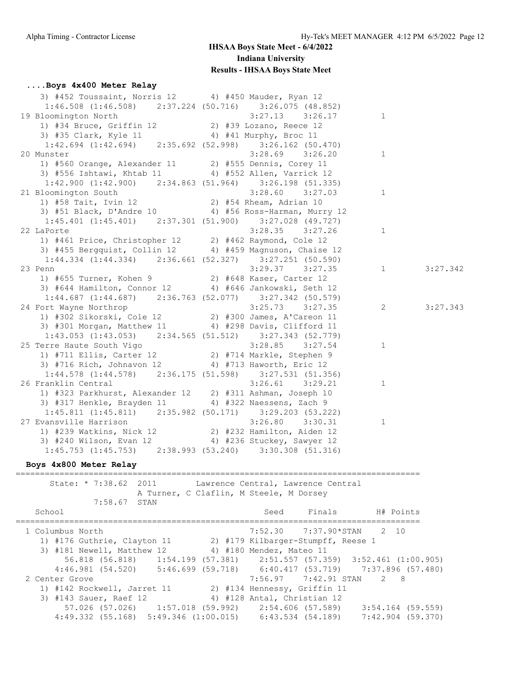## **....Boys 4x400 Meter Relay**

| 3) #452 Toussaint, Norris 12 4) #450 Mauder, Ryan 12                                                                                                |                       |                |          |
|-----------------------------------------------------------------------------------------------------------------------------------------------------|-----------------------|----------------|----------|
| $1:46.508$ (1:46.508) $2:37.224$ (50.716) $3:26.075$ (48.852)                                                                                       |                       |                |          |
| 19 Bloomington North                                                                                                                                | $3:27.13$ $3:26.17$ 1 |                |          |
| 3:27.13 3:26<br>1) #34 Bruce, Griffin 12 2) #39 Lozano, Reece 12                                                                                    |                       |                |          |
| 3) #35 Clark, Kyle 11 4) #41 Murphy, Broc 11                                                                                                        |                       |                |          |
| $1:42.694$ $(1:42.694)$ $2:35.692$ $(52.998)$ $3:26.162$ $(50.470)$                                                                                 |                       |                |          |
| 20 Munster                                                                                                                                          | $3:28.69$ $3:26.20$   | $\overline{1}$ |          |
| 1) #560 Orange, Alexander 11 2) #555 Dennis, Corey 11                                                                                               |                       |                |          |
| 3) #556 Ishtawi, Khtab 11 4) #552 Allen, Varrick 12                                                                                                 |                       |                |          |
| $1:42.900$ $(1:42.900)$ $2:34.863$ $(51.964)$ $3:26.198$ $(51.335)$                                                                                 |                       |                |          |
| 21 Bloomington South                                                                                                                                | $3:28.60$ $3:27.03$ 1 |                |          |
| 3100 omington South 3:28.60 3:27.<br>1) #58 Tait, Ivin 12 2) #54 Rheam, Adrian 10                                                                   |                       |                |          |
| 3) #51 Black, D'Andre 10 4) #56 Ross-Harman, Murry 12                                                                                               |                       |                |          |
| $1:45.401$ (1:45.401) $2:37.301$ (51.900) $3:27.028$ (49.727)                                                                                       |                       |                |          |
| 22 LaPorte                                                                                                                                          | $3:28.35$ $3:27.26$   | $\mathbf{1}$   |          |
| 1) #461 Price, Christopher 12 2) #462 Raymond, Cole 12                                                                                              |                       |                |          |
| 3) #455 Bergquist, Collin 12 4) #459 Magnuson, Chaise 12                                                                                            |                       |                |          |
| $1:44.334$ (1:44.334) 2:36.661 (52.327) 3:27.251 (50.590)                                                                                           |                       |                |          |
| 23 Penn<br>9enn 3:29.37 3:27.<br>1) #655 Turner, Kohen 9 2) #648 Kaser, Carter 12                                                                   | $3:29.37$ $3:27.35$   | $\sim$ 1       | 3:27.342 |
|                                                                                                                                                     |                       |                |          |
| 3) #644 Hamilton, Connor 12 4) #646 Jankowski, Seth 12                                                                                              |                       |                |          |
| $1:44.687$ (1:44.687) 2:36.763 (52.077) 3:27.342 (50.579)                                                                                           |                       |                |          |
|                                                                                                                                                     |                       | $\overline{c}$ | 3:27.343 |
| 24 Fort Wayne Northrop 3:25.73 3:27.35<br>1) #302 Sikorski, Cole 12 2) #300 James, A'Careon 11                                                      |                       |                |          |
| 3) #301 Morgan, Matthew 11 4) #298 Davis, Clifford 11                                                                                               |                       |                |          |
| $1:43.053$ $(1:43.053)$ $2:34.565$ $(51.512)$ $3:27.343$ $(52.779)$                                                                                 |                       |                |          |
| 25 Terre Haute South Vigo<br>1) #711 Ellis, Carter 12 2) #714 Markle, Stephen 9                                                                     |                       | $\mathbf{1}$   |          |
|                                                                                                                                                     |                       |                |          |
| 3) #716 Rich, Johnavon 12 4) #713 Haworth, Eric 12                                                                                                  |                       |                |          |
| $1:44.578$ $(1:44.578)$ $2:36.175$ $(51.598)$ $3:27.531$ $(51.356)$                                                                                 |                       |                |          |
| 26 Franklin Central                                                                                                                                 |                       | $\mathbf{1}$   |          |
| 11 Eentral 3:26.61 3:29.21<br>1) #323 Parkhurst, Alexander 12 2) #311 Ashman, Joseph                                                                |                       |                |          |
| 3) #317 Henkle, Brayden 11 4) #322 Naessens, Zach 9                                                                                                 |                       |                |          |
| $1:45.811$ (1:45.811) $2:35.982$ (50.171) $3:29.203$ (53.222)                                                                                       |                       |                |          |
| 27 Evansville Harrison 3:26.80 3:30.31<br>1) #239 Watkins, Nick 12 2) #232 Hamilton, Aiden 12<br>3) #240 Wilson, Evan 12 4) #236 Stuckey, Sawyer 12 | $3:26.80$ $3:30.31$   | $\mathbf{1}$   |          |
|                                                                                                                                                     |                       |                |          |
|                                                                                                                                                     |                       |                |          |
| $1:45.753 (1:45.753) 2:38.993 (53.240) 3:30.308 (51.316)$                                                                                           |                       |                |          |

### **Boys 4x800 Meter Relay**

#### =================================================================================== Lawrence Central, Lawrence Central

|                  | 36465. 1.30.04 2011    |                                                                |                             | hawlence central, hawlence central |                                                                         |
|------------------|------------------------|----------------------------------------------------------------|-----------------------------|------------------------------------|-------------------------------------------------------------------------|
|                  |                        | A Turner, C Claflin, M Steele, M Dorsey                        |                             |                                    |                                                                         |
|                  | 7:58.67 STAN           |                                                                |                             |                                    |                                                                         |
| School           |                        |                                                                | Seed                        | Finals                             | H# Points                                                               |
| 1 Columbus North |                        |                                                                |                             |                                    | 7:52.30 7:37.90*STAN 2 10                                               |
|                  |                        | 1) #176 Guthrie, Clayton 11 2) #179 Kilbarger-Stumpff, Reese 1 |                             |                                    |                                                                         |
|                  |                        | 3) #181 Newell, Matthew 12 4) #180 Mendez, Mateo 11            |                             |                                    |                                                                         |
|                  |                        |                                                                |                             |                                    | 56.818 (56.818) 1:54.199 (57.381) 2:51.557 (57.359) 3:52.461 (1:00.905) |
|                  |                        |                                                                |                             |                                    | 4:46.981 (54.520) 5:46.699 (59.718) 6:40.417 (53.719) 7:37.896 (57.480) |
| 2 Center Grove   |                        |                                                                |                             |                                    | 7:56.97 7:42.91 STAN 2 8                                                |
|                  |                        | 1) #142 Rockwell, Jarret 11 (2) #134 Hennessy, Griffin 11      |                             |                                    |                                                                         |
|                  | 3) #143 Sauer, Raef 12 |                                                                | 4) #128 Antal, Christian 12 |                                    |                                                                         |
|                  |                        | $57.026$ (57.026) 1:57.018 (59.992) 2:54.606 (57.589)          |                             |                                    | 3:54.164 (59.559)                                                       |
|                  |                        | $4:49.332$ (55.168) 5:49.346 (1:00.015) 6:43.534 (54.189)      |                             |                                    | 7:42.904 (59.370)                                                       |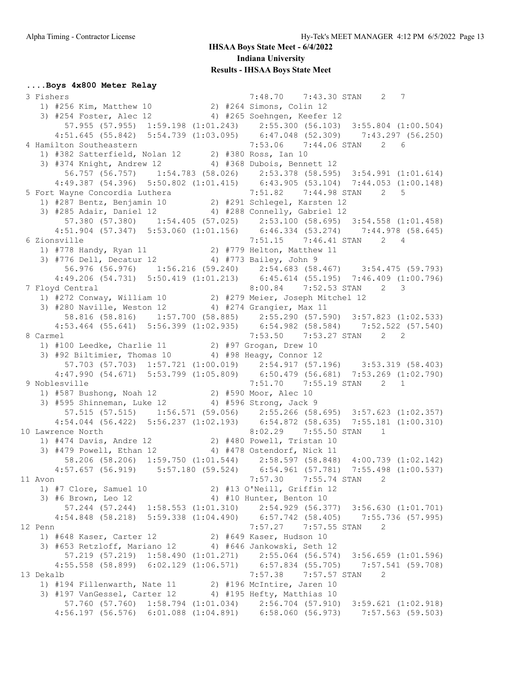#### **....Boys 4x800 Meter Relay**

 3 Fishers 7:48.70 7:43.30 STAN 2 7 1) #256 Kim, Matthew 10 2) #264 Simons, Colin 12 3) #254 Foster, Alec 12 4) #265 Soehngen, Keefer 12 57.955 (57.955) 1:59.198 (1:01.243) 2:55.300 (56.103) 3:55.804 (1:00.504) 4:51.645 (55.842) 5:54.739 (1:03.095) 6:47.048 (52.309) 7:43.297 (56.250) 4 Hamilton Southeastern 7:53.06 7:44.06 STAN 2 6 1) #382 Satterfield, Nolan 12 2) #380 Ross, Ian 10 3) #374 Knight, Andrew 12 4) #368 Dubois, Bennett 12 56.757 (56.757) 1:54.783 (58.026) 2:53.378 (58.595) 3:54.991 (1:01.614) 4:49.387 (54.396) 5:50.802 (1:01.415) 6:43.905 (53.104) 7:44.053 (1:00.148) 5 Fort Wayne Concordia Luthera 7:51.82 7:44.98 STAN 2 5 1) #287 Bentz, Benjamin 10 2) #291 Schlegel, Karsten 12 3) #285 Adair, Daniel 12 4) #288 Connelly, Gabriel 12 57.380 (57.380) 1:54.405 (57.025) 2:53.100 (58.695) 3:54.558 (1:01.458) 4:51.904 (57.347) 5:53.060 (1:01.156) 6:46.334 (53.274) 7:44.978 (58.645) 6 Zionsville 7:51.15 7:46.41 STAN 2 4 1) #778 Handy, Ryan 11 2) #779 Helton, Matthew 11 3) #776 Dell, Decatur 12 4) #773 Bailey, John 9 56.976 (56.976) 1:56.216 (59.240) 2:54.683 (58.467) 3:54.475 (59.793) 4:49.206 (54.731) 5:50.419 (1:01.213) 6:45.614 (55.195) 7:46.409 (1:00.796) 7 Floyd Central 8:00.84 7:52.53 STAN 2 3 1) #272 Conway, William 10 2) #279 Meier, Joseph Mitchel 12 3) #280 Naville, Weston 12 4) #274 Grangier, Max 11 58.816 (58.816) 1:57.700 (58.885) 2:55.290 (57.590) 3:57.823 (1:02.533) 4:53.464 (55.641) 5:56.399 (1:02.935) 6:54.982 (58.584) 7:52.522 (57.540) 8 Carmel 7:53.50 7:53.27 STAN 2 2 1) #100 Leedke, Charlie 11 2) #97 Grogan, Drew 10 3) #92 Biltimier, Thomas 10 4) #98 Heagy, Connor 12 57.703 (57.703) 1:57.721 (1:00.019) 2:54.917 (57.196) 3:53.319 (58.403) 4:47.990 (54.671) 5:53.799 (1:05.809) 6:50.479 (56.681) 7:53.269 (1:02.790) 9 Noblesville 7:51.70 7:55.19 STAN 2 1 1) #587 Bushong, Noah 12 2) #590 Moor, Alec 10 3) #595 Shinneman, Luke 12 4) #596 Strong, Jack 9 57.515 (57.515) 1:56.571 (59.056) 2:55.266 (58.695) 3:57.623 (1:02.357) 4:54.044 (56.422) 5:56.237 (1:02.193) 6:54.872 (58.635) 7:55.181 (1:00.310) 10 Lawrence North 8:02.29 7:55.50 STAN 1 1) #474 Davis, Andre 12 2) #480 Powell, Tristan 10 3) #479 Powell, Ethan 12 4) #478 Ostendorf, Nick 11 58.206 (58.206) 1:59.750 (1:01.544) 2:58.597 (58.848) 4:00.739 (1:02.142) 4:57.657 (56.919) 5:57.180 (59.524) 6:54.961 (57.781) 7:55.498 (1:00.537) 11 Avon 7:57.30 7:55.74 STAN 2 1) #7 Clore, Samuel 10 2) #13 O'Neill, Griffin 12 3) #6 Brown, Leo 12 4) #10 Hunter, Benton 10 57.244 (57.244) 1:58.553 (1:01.310) 2:54.929 (56.377) 3:56.630 (1:01.701) 4:54.848 (58.218) 5:59.338 (1:04.490) 6:57.742 (58.405) 7:55.736 (57.995) 12 Penn 7:57.27 7:57.55 STAN 2<br>1) #648 Kaser, Carter 12 2) #649 Kaser, Hudson 10 1) #648 Kaser, Carter 12 2) #649 Kaser, Hudson 10 3) #653 Retzloff, Mariano 12 4) #646 Jankowski, Seth 12 57.219 (57.219) 1:58.490 (1:01.271) 2:55.064 (56.574) 3:56.659 (1:01.596) 4:55.558 (58.899) 6:02.129 (1:06.571) 6:57.834 (55.705) 7:57.541 (59.708) 13 Dekalb 7:57.38 7:57.57 STAN 2 1) #194 Fillenwarth, Nate 11 2) #196 McIntire, Jaren 10 3) #197 VanGessel, Carter 12 4) #195 Hefty, Matthias 10 57.760 (57.760) 1:58.794 (1:01.034) 2:56.704 (57.910) 3:59.621 (1:02.918) 4:56.197 (56.576) 6:01.088 (1:04.891) 6:58.060 (56.973) 7:57.563 (59.503)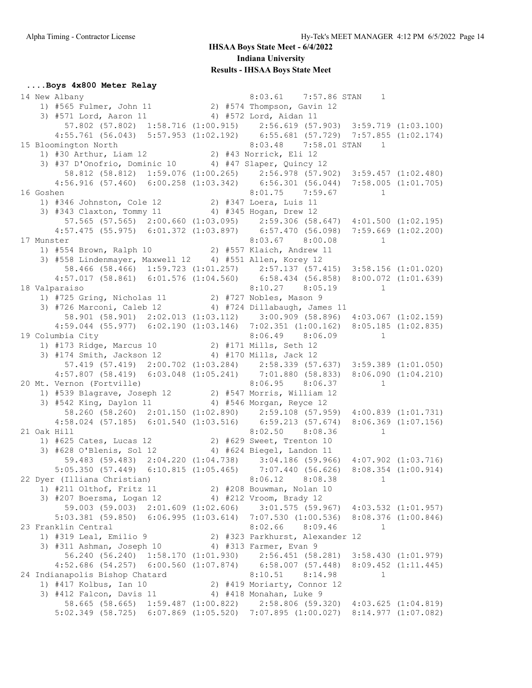## **....Boys 4x800 Meter Relay**

| 14 New Albany                                                                                                                                                                                                              | 8:03.61 7:57.86 STAN 1          |              |  |
|----------------------------------------------------------------------------------------------------------------------------------------------------------------------------------------------------------------------------|---------------------------------|--------------|--|
| 1) #565 Fulmer, John 11 2) #574 Thompson, Gavin 12                                                                                                                                                                         |                                 |              |  |
| 3) #571 Lord, Aaron 11 4) #572 Lord, Aidan 11                                                                                                                                                                              |                                 |              |  |
| 57.802 (57.802) 1:58.716 (1:00.915) 2:56.619 (57.903) 3:59.719 (1:03.100)                                                                                                                                                  |                                 |              |  |
| 4:55.761 (56.043) 5:57.953 (1:02.192) 6:55.681 (57.729) 7:57.855 (1:02.174)                                                                                                                                                |                                 |              |  |
| 15 Bloomington North                                                                                                                                                                                                       | 8:03.48 7:58.01 STAN 1          |              |  |
|                                                                                                                                                                                                                            |                                 |              |  |
| 3) #37 D'Onofrio, Dominic 10 4) #47 Slaper, Quincy 12                                                                                                                                                                      |                                 |              |  |
| 58.812 (58.812) 1:59.076 (1:00.265) 2:56.978 (57.902) 3:59.457 (1:02.480)                                                                                                                                                  |                                 |              |  |
| 4:56.916 (57.460) 6:00.258 (1:03.342) 6:56.301 (56.044) 7:58.005 (1:01.705)                                                                                                                                                |                                 |              |  |
| 16 Goshen                                                                                                                                                                                                                  | $8:01.75$ 7:59.67 1             |              |  |
| 1) #346 Johnston, Cole 12 2) #347 Loera, Luis 11                                                                                                                                                                           |                                 |              |  |
| 3) #343 Claxton, Tommy 11 4) #345 Hogan, Drew 12                                                                                                                                                                           |                                 |              |  |
| 57.565 (57.565) 2:00.660 (1:03.095) 2:59.306 (58.647) 4:01.500 (1:02.195)                                                                                                                                                  |                                 |              |  |
| 4:57.475 (55.975) 6:01.372 (1:03.897) 6:57.470 (56.098) 7:59.669 (1:02.200)                                                                                                                                                |                                 |              |  |
| %101.67 8:00.08<br>1) #554 Brown, Ralph 10 2) #557 Klaich, Andrew 11<br>3) #558 Lindenmayer, Maxwell 12 4) #551 Allen, Korey 12<br>17 Munster                                                                              |                                 | $\sim$ 1     |  |
|                                                                                                                                                                                                                            |                                 |              |  |
|                                                                                                                                                                                                                            |                                 |              |  |
| 58.466 (58.466) 1:59.723 (1:01.257) 2:57.137 (57.415) 3:58.156 (1:01.020)                                                                                                                                                  |                                 |              |  |
| 4:57.017 (58.861) 6:01.576 (1:04.560) 6:58.434 (56.858) 8:00.072 (1:01.639)                                                                                                                                                |                                 |              |  |
| 18 Valparaiso                                                                                                                                                                                                              | 8:10.27 8:05.19 1               |              |  |
| 1) #725 Gring, Nicholas 11 2) #727 Nobles, Mason 9                                                                                                                                                                         |                                 |              |  |
| 3) #726 Marconi, Caleb 12 4) #724 Dillabaugh, James 11                                                                                                                                                                     |                                 |              |  |
| 58.901 (58.901) 2:02.013 (1:03.112) 3:00.909 (58.896) 4:03.067 (1:02.159)                                                                                                                                                  |                                 |              |  |
| 4:59.044 (55.977) 6:02.190 (1:03.146) 7:02.351 (1:00.162) 8:05.185 (1:02.835)                                                                                                                                              |                                 |              |  |
| 1 (2011) Columbia City<br>1 (3:06.49 (3:06.09 ) #171 Mills, Seth 12<br>2) #171 Mills, Seth 12<br>19 Columbia City                                                                                                          |                                 |              |  |
|                                                                                                                                                                                                                            |                                 |              |  |
| 3) #174 Smith, Jackson 12 4) #170 Mills, Jack 12                                                                                                                                                                           |                                 |              |  |
|                                                                                                                                                                                                                            |                                 |              |  |
| $\begin{array}{cccccccc} 57.419 & (57.419) & 2:00.702 & (1:03.284) & 2:58.339 & (57.637) & 3:59.389 & (1:01.050) \\ 4:57.807 & (58.419) & 6:03.048 & (1:05.241) & 7:01.880 & (58.833) & 8:06.090 & (1:04.210) \end{array}$ |                                 |              |  |
|                                                                                                                                                                                                                            |                                 |              |  |
| 20 Mt. Vernon (Fortville)<br>1) #539 Blagrave, Joseph 12 (2) #547 Morris, William 12                                                                                                                                       |                                 |              |  |
| 3) #542 King, Daylon 11 4) #546 Morgan, Reyce 12                                                                                                                                                                           |                                 |              |  |
| 58.260 (58.260) 2:01.150 (1:02.890) 2:59.108 (57.959) 4:00.839 (1:01.731)                                                                                                                                                  |                                 |              |  |
| 4:58.024 (57.185) 6:01.540 (1:03.516) 6:59.213 (57.674) 8:06.369 (1:07.156)                                                                                                                                                |                                 |              |  |
| 21 Oak Hill                                                                                                                                                                                                                | $8:02.50$ $8:08.36$             | $\mathbf{1}$ |  |
| 1) #625 Cates, Lucas 12 2) #629 Sweet, Trenton 10                                                                                                                                                                          |                                 |              |  |
| 3) #628 O'Blenis, Sol 12 4) #624 Biegel, Landon 11                                                                                                                                                                         |                                 |              |  |
| 59.483 (59.483) 2:04.220 (1:04.738) 3:04.186 (59.966) 4:07.902 (1:03.716)                                                                                                                                                  |                                 |              |  |
| 5:05.350 (57.449) 6:10.815 (1:05.465) 7:07.440 (56.626) 8:08.354 (1:00.914)                                                                                                                                                |                                 |              |  |
| 22 Dyer (Illiana Christian)                                                                                                                                                                                                | $8:06.12$ $8:08.38$             |              |  |
| 1) #211 Olthof, Fritz 11 2) #208 Bouwman, Nolan 10                                                                                                                                                                         |                                 |              |  |
| 3) #207 Boersma, Logan 12 4) #212 Vroom, Brady 12                                                                                                                                                                          |                                 |              |  |
| 59.003 (59.003) 2:01.609 (1:02.606) 3:01.575 (59.967) 4:03.532 (1:01.957)                                                                                                                                                  |                                 |              |  |
| 5:03.381 (59.850) 6:06.995 (1:03.614) 7:07.530 (1:00.536) 8:08.376 (1:00.846)                                                                                                                                              |                                 |              |  |
| 23 Franklin Central                                                                                                                                                                                                        | $8:02.66$ $8:09.46$             | 1            |  |
| 1) #319 Leal, Emilio 9                                                                                                                                                                                                     | 2) #323 Parkhurst, Alexander 12 |              |  |
| 3) #311 Ashman, Joseph 10                                                                                                                                                                                                  | 4) #313 Farmer, Evan 9          |              |  |
| 56.240 (56.240) 1:58.170 (1:01.930) 2:56.451 (58.281) 3:58.430 (1:01.979)                                                                                                                                                  |                                 |              |  |
| 4:52.686 (54.257) 6:00.560 (1:07.874) 6:58.007 (57.448) 8:09.452 (1:11.445)                                                                                                                                                |                                 |              |  |
| 24 Indianapolis Bishop Chatard                                                                                                                                                                                             | $8:10.51$ $8:14.98$             | $\mathbf{1}$ |  |
| 1) #417 Kolbus, Ian 10                                                                                                                                                                                                     | 2) #419 Moriarty, Connor 12     |              |  |
| 3) #412 Falcon, Davis 11                                                                                                                                                                                                   | 4) #418 Monahan, Luke 9         |              |  |
| 58.665 (58.665) 1:59.487 (1:00.822) 2:58.806 (59.320) 4:03.625 (1:04.819)                                                                                                                                                  |                                 |              |  |
| 5:02.349 (58.725) 6:07.869 (1:05.520) 7:07.895 (1:00.027) 8:14.977 (1:07.082)                                                                                                                                              |                                 |              |  |
|                                                                                                                                                                                                                            |                                 |              |  |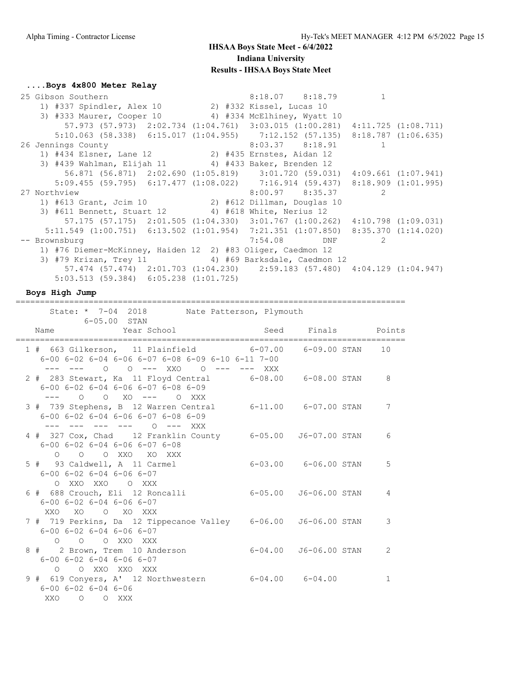## **....Boys 4x800 Meter Relay**

| 25 Gibson Southern                                                                              | $8:18.07$ $8:18.79$ 1 |  |
|-------------------------------------------------------------------------------------------------|-----------------------|--|
| 1) #337 Spindler, Alex 10 2) #332 Kissel, Lucas 10                                              |                       |  |
| 3) #333 Maurer, Cooper 10 4) #334 McElhiney, Wyatt 10                                           |                       |  |
| 57.973 (57.973) 2:02.734 (1:04.761) 3:03.015 (1:00.281) 4:11.725 (1:08.711)                     |                       |  |
| 5:10.063 (58.338) 6:15.017 (1:04.955) 7:12.152 (57.135) 8:18.787 (1:06.635)                     |                       |  |
| 26 Jennings County                                                                              | $8:03.37$ $8:18.91$ 1 |  |
| 1) #434 Elsner, Lane 12 2) #435 Ernstes, Aidan 12                                               |                       |  |
| 3) #439 Wahlman, Elijah 11 4) #433 Baker, Brenden 12                                            |                       |  |
| 56.871 (56.871) 2:02.690 (1:05.819) 3:01.720 (59.031) 4:09.661 (1:07.941)                       |                       |  |
| 5:09.455 (59.795) 6:17.477 (1:08.022) 7:16.914 (59.437) 8:18.909 (1:01.995)                     |                       |  |
| 27 Northview                                                                                    | $8:00.97$ $8:35.37$ 2 |  |
| 1) #613 Grant, Jcim 10 2) #612 Dillman, Douglas 10                                              |                       |  |
| 3) #611 Bennett, Stuart 12 4) #618 White, Nerius 12                                             |                       |  |
| 57.175 (57.175) 2:01.505 (1:04.330) 3:01.767 (1:00.262) 4:10.798 (1:09.031)                     |                       |  |
| $5:11.549$ $(1:00.751)$ $6:13.502$ $(1:01.954)$ $7:21.351$ $(1:07.850)$ $8:35.370$ $(1:14.020)$ |                       |  |
| -- Brownsburg                                                                                   | 7:54.08 DNF 2         |  |
| 1) #76 Diemer-McKinney, Haiden 12 2) #83 Oliger, Caedmon 12                                     |                       |  |
| 3) #79 Krizan, Trey 11 4) #69 Barksdale, Caedmon 12                                             |                       |  |
| 57.474 (57.474) 2:01.703 (1:04.230) 2:59.183 (57.480) 4:04.129 (1:04.947)                       |                       |  |
| $5:03.513$ (59.384) 6:05.238 (1:01.725)                                                         |                       |  |
|                                                                                                 |                       |  |

### **Boys High Jump**

================================================================================

State: \* 7-04 2018 Nate Patterson, Plymouth

| $6 - 05.00$ STAN                                                                                                                                                    |                           |                  |
|---------------------------------------------------------------------------------------------------------------------------------------------------------------------|---------------------------|------------------|
| Year School Seed Finals Points<br>Name                                                                                                                              |                           | ================ |
| 1 # 663 Gilkerson, 11 Plainfield 6-07.00 6-09.00 STAN<br>$6-00$ $6-02$ $6-04$ $6-06$ $6-07$ $6-08$ $6-09$ $6-10$ $6-11$ $7-00$<br>--- --- 0 0 --- XX0 0 --- --- XXX |                           | 10               |
| 2 # 283 Stewart, Ka 11 Floyd Central 6-08.00 6-08.00 STAN<br>$6 - 00$ $6 - 02$ $6 - 04$ $6 - 06$ $6 - 07$ $6 - 08$ $6 - 09$<br>--- 0 0 XO --- 0 XXX                 |                           | 8                |
| 3 # 739 Stephens, B 12 Warren Central 6-11.00 6-07.00 STAN<br>$6 - 00$ $6 - 02$ $6 - 04$ $6 - 06$ $6 - 07$ $6 - 08$ $6 - 09$<br>--- --- --- --- 0 --- XXX           |                           | 7                |
| 4 # 327 Cox, Chad 12 Franklin County 6-05.00 J6-07.00 STAN<br>$6 - 00$ $6 - 02$ $6 - 04$ $6 - 06$ $6 - 07$ $6 - 08$<br>O O O XXO XO XXX                             |                           | 6                |
| 5 # 93 Caldwell, A 11 Carmel<br>$6 - 00$ $6 - 02$ $6 - 04$ $6 - 06$ $6 - 07$<br>O XXO XXO O XXX                                                                     | $6-03.00$ $6-06.00$ STAN  | 5                |
| 6 # 688 Crouch, Eli 12 Roncalli<br>$6 - 00$ $6 - 02$ $6 - 04$ $6 - 06$ $6 - 07$<br>XXO XO O XO XXX                                                                  | 6-05.00 J6-06.00 STAN     | 4                |
| 7 # 719 Perkins, Da 12 Tippecanoe Valley     6-06.00   J6-06.00 STAN<br>$6 - 00$ $6 - 02$ $6 - 04$ $6 - 06$ $6 - 07$<br>O O O XXO XXX                               |                           | 3                |
| 8 # 2 Brown, Trem 10 Anderson<br>$6 - 00$ $6 - 02$ $6 - 04$ $6 - 06$ $6 - 07$<br>O O XXO XXO XXX                                                                    | $6-04.00$ $J6-06.00$ STAN | 2                |
| 9 # 619 Conyers, A' 12 Northwestern<br>$6 - 00$ $6 - 02$ $6 - 04$ $6 - 06$<br>XXO O O XXX                                                                           | $6 - 04.00$ $6 - 04.00$   | $\mathbf{1}$     |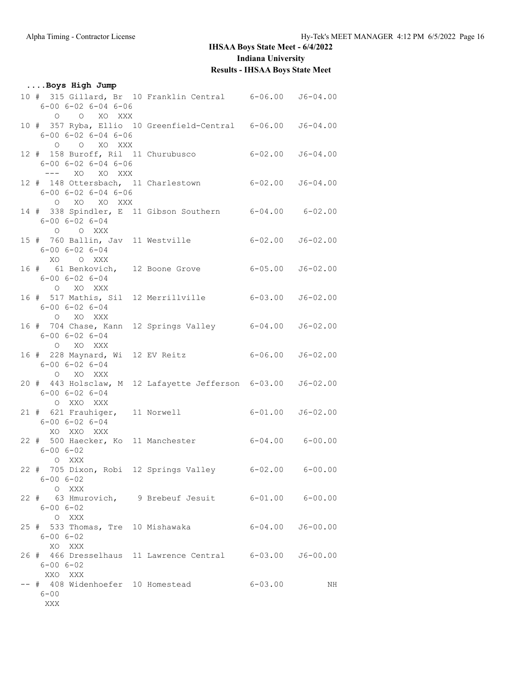| Boys High Jump                                                             |                                                              |         |                          |
|----------------------------------------------------------------------------|--------------------------------------------------------------|---------|--------------------------|
| $6 - 00$ $6 - 02$ $6 - 04$ $6 - 06$<br>O O XO XXX                          | 10 # 315 Gillard, Br 10 Franklin Central 6-06.00 J6-04.00    |         |                          |
| $6 - 00$ $6 - 02$ $6 - 04$ $6 - 06$<br>O O XO XXX                          | 10 # 357 Ryba, Ellio 10 Greenfield-Central 6-06.00 J6-04.00  |         |                          |
| $6 - 00$ $6 - 02$ $6 - 04$ $6 - 06$                                        | 12 # 158 Buroff, Ril 11 Churubusco 6-02.00 J6-04.00          |         |                          |
| $6 - 00$ $6 - 02$ $6 - 04$ $6 - 06$<br>O XO XO XXX                         | 12 # 148 Ottersbach, 11 Charlestown 6-02.00 J6-04.00         |         |                          |
| $6 - 00$ $6 - 02$ $6 - 04$<br>O O XXX                                      | 14 # 338 Spindler, E 11 Gibson Southern 6-04.00 6-02.00      |         |                          |
| $6 - 00$ $6 - 02$ $6 - 04$<br>XO O XXX                                     | 15 # 760 Ballin, Jav 11 Westville 6-02.00 J6-02.00           |         |                          |
| $6 - 00$ $6 - 02$ $6 - 04$<br>O XO XXX                                     | 16 # 61 Benkovich, 12 Boone Grove 6-05.00 J6-02.00           |         |                          |
| $6 - 00$ $6 - 02$ $6 - 04$<br>O XO XXX                                     | 16 # 517 Mathis, Sil 12 Merrillville 6-03.00 J6-02.00        |         |                          |
| $6 - 00$ $6 - 02$ $6 - 04$<br>O XO XXX                                     | 16 # 704 Chase, Kann 12 Springs Valley 6-04.00 J6-02.00      |         |                          |
| $6 - 00$ $6 - 02$ $6 - 04$<br>O XO XXX                                     | 16 # 228 Maynard, Wi 12 EV Reitz 6-06.00 J6-02.00            |         |                          |
| $6 - 00$ $6 - 02$ $6 - 04$<br>O XXO XXX                                    | 20 # 443 Holsclaw, M 12 Lafayette Jefferson 6-03.00 J6-02.00 |         |                          |
| 21 # 621 Frauhiger, 11 Norwell<br>$6 - 00$ $6 - 02$ $6 - 04$<br>XO XXO XXX |                                                              |         | $6 - 01.00$ $J6 - 02.00$ |
| $6 - 00 6 - 02$<br>O XXX                                                   | 22 # 500 Haecker, Ko 11 Manchester 6-04.00 6-00.00           |         |                          |
| $6 - 006 - 02$<br>O XXX                                                    | 22 # 705 Dixon, Robi 12 Springs Valley 6-02.00 6-00.00       |         |                          |
| $6 - 006 - 02$<br>O XXX                                                    | 22 # 63 Hmurovich, 9 Brebeuf Jesuit 6-01.00 6-00.00          |         |                          |
| $6 - 00 6 - 02$<br>XO XXX                                                  | 25 # 533 Thomas, Tre 10 Mishawaka 6-04.00 J6-00.00           |         |                          |
| $6 - 00 6 - 02$<br>XXO XXX                                                 | 26 # 466 Dresselhaus 11 Lawrence Central 6-03.00 J6-00.00    |         |                          |
| -- # 408 Widenhoefer 10 Homestead<br>$6 - 00$<br>XXX                       |                                                              | 6-03.00 | NH                       |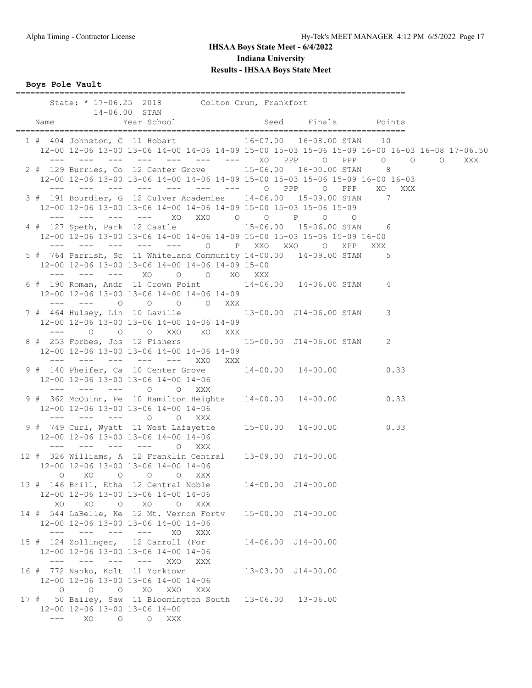**Boys Pole Vault**

|                            |                                                                                                                                                                                                                                                                                                                                                                                                                                                                    | State: * 17-06.25 2018 Colton Crum, Frankfort                                                                                                                                                                                                                                                                                                                                                                                                                                                                                                                                   |     |  |                            |  |  |
|----------------------------|--------------------------------------------------------------------------------------------------------------------------------------------------------------------------------------------------------------------------------------------------------------------------------------------------------------------------------------------------------------------------------------------------------------------------------------------------------------------|---------------------------------------------------------------------------------------------------------------------------------------------------------------------------------------------------------------------------------------------------------------------------------------------------------------------------------------------------------------------------------------------------------------------------------------------------------------------------------------------------------------------------------------------------------------------------------|-----|--|----------------------------|--|--|
|                            |                                                                                                                                                                                                                                                                                                                                                                                                                                                                    | 14-06.00 STAN                                                                                                                                                                                                                                                                                                                                                                                                                                                                                                                                                                   |     |  |                            |  |  |
|                            |                                                                                                                                                                                                                                                                                                                                                                                                                                                                    | 1 # 404 Johnston, C 11 Hobart 16-07.00 16-08.00 STAN 10<br>12-00 12-06 13-00 13-06 14-00 14-06 14-09 15-00 15-03 15-06 15-09 16-00 16-03 16-08 17-06.50<br>--- --- --- --- --- --- --- XO PPP 0 PPP 0 0 0 XXX                                                                                                                                                                                                                                                                                                                                                                   |     |  |                            |  |  |
|                            |                                                                                                                                                                                                                                                                                                                                                                                                                                                                    | 12-00 12-06 13-00 13-06 14-00 14-06 14-09 15-00 15-03 15-06 15-09 16-00 16-03<br>--- --- --- --- --- --- --- 0 PPP 0 PPP XO XXX                                                                                                                                                                                                                                                                                                                                                                                                                                                 |     |  |                            |  |  |
|                            |                                                                                                                                                                                                                                                                                                                                                                                                                                                                    | 12-00 12-06 13-00 13-06 14-00 14-06 14-09 15-00 15-03 15-06 15-09<br>--- --- --- --- XO XXO 0 0 P 0 0                                                                                                                                                                                                                                                                                                                                                                                                                                                                           |     |  |                            |  |  |
|                            |                                                                                                                                                                                                                                                                                                                                                                                                                                                                    | 4 # 127 Speth, Park 12 Castle 15-06.00 15-06.00 STAN 6<br>12-00 12-06 13-00 13-06 14-00 14-06 14-09 15-00 15-03 15-06 15-09 16-00<br>--- --- --- --- --- 0 P XXO XXO 0 XPP XXX                                                                                                                                                                                                                                                                                                                                                                                                  |     |  |                            |  |  |
|                            |                                                                                                                                                                                                                                                                                                                                                                                                                                                                    | 5 # 764 Parrish, Sc 11 Whiteland Community 14-00.00 14-09.00 STAN 5<br>12-00 12-06 13-00 13-06 14-00 14-06 14-09 15-00<br>--- --- --- XO O O XO XXX                                                                                                                                                                                                                                                                                                                                                                                                                             |     |  |                            |  |  |
|                            |                                                                                                                                                                                                                                                                                                                                                                                                                                                                    | 6 # 190 Roman, Andr 11 Crown Point 14-06.00 14-06.00 STAN 4<br>12-00 12-06 13-00 13-06 14-00 14-06 14-09<br>--- --- 0 0 0 0 XXX                                                                                                                                                                                                                                                                                                                                                                                                                                                 |     |  |                            |  |  |
|                            |                                                                                                                                                                                                                                                                                                                                                                                                                                                                    | 7 # 464 Hulsey, Lin 10 Laville 13-00.00 J14-06.00 STAN 3<br>12-00 12-06 13-00 13-06 14-00 14-06 14-09                                                                                                                                                                                                                                                                                                                                                                                                                                                                           |     |  |                            |  |  |
|                            |                                                                                                                                                                                                                                                                                                                                                                                                                                                                    | --- 0 0 0 XXO XO XXX<br>8 # 253 Forbes, Jos 12 Fishers 15-00.00 J14-06.00 STAN 2<br>12-00 12-06 13-00 13-06 14-00 14-06 14-09<br>--- --- --- --- --- XXO XXX                                                                                                                                                                                                                                                                                                                                                                                                                    |     |  |                            |  |  |
|                            |                                                                                                                                                                                                                                                                                                                                                                                                                                                                    | 12-00 12-06 13-00 13-06 14-00 14-06<br>--- --- --- 0 0 XXX                                                                                                                                                                                                                                                                                                                                                                                                                                                                                                                      |     |  |                            |  |  |
|                            |                                                                                                                                                                                                                                                                                                                                                                                                                                                                    | 12-00 12-06 13-00 13-06 14-00 14-06<br>--- --- --- 0 0 XXX                                                                                                                                                                                                                                                                                                                                                                                                                                                                                                                      |     |  |                            |  |  |
|                            |                                                                                                                                                                                                                                                                                                                                                                                                                                                                    | 12-00 12-06 13-00 13-06 14-00 14-06<br>--- --- --- --- 0 XXX                                                                                                                                                                                                                                                                                                                                                                                                                                                                                                                    |     |  |                            |  |  |
|                            |                                                                                                                                                                                                                                                                                                                                                                                                                                                                    | 12 # 326 Williams, A 12 Franklin Central 13-09.00 J14-00.00<br>12-00 12-06 13-00 13-06 14-00 14-06<br>O XO O O O XXX                                                                                                                                                                                                                                                                                                                                                                                                                                                            |     |  |                            |  |  |
| XO                         | XO O XO                                                                                                                                                                                                                                                                                                                                                                                                                                                            | 13 # 146 Brill, Etha 12 Central Noble<br>12-00 12-06 13-00 13-06 14-00 14-06<br>$\circ$                                                                                                                                                                                                                                                                                                                                                                                                                                                                                         | XXX |  | 14-00.00 J14-00.00         |  |  |
| $\frac{1}{2}$              | $\begin{tabular}{lllllllllll} \toprule & & & & \multicolumn{2}{c}{1} & & \multicolumn{2}{c}{1} & \multicolumn{2}{c}{1} & \multicolumn{2}{c}{1} & \multicolumn{2}{c}{1} & \multicolumn{2}{c}{1} & \multicolumn{2}{c}{1} & \multicolumn{2}{c}{1} & \multicolumn{2}{c}{1} & \multicolumn{2}{c}{1} & \multicolumn{2}{c}{1} & \multicolumn{2}{c}{1} & \multicolumn{2}{c}{1} & \multicolumn{2}{c}{1} & \multicolumn{2}{c}{1} & \multicolumn{2}{c}{1} & \multicolumn{2}{$ | 14 # 544 LaBelle, Ke 12 Mt. Vernon Fortv<br>12-00 12-06 13-00 13-06 14-00 14-06<br>$\begin{array}{cccccccccc} \multicolumn{2}{c}{} & \multicolumn{2}{c}{} & \multicolumn{2}{c}{} & \multicolumn{2}{c}{} & \multicolumn{2}{c}{} & \multicolumn{2}{c}{} & \multicolumn{2}{c}{} & \multicolumn{2}{c}{} & \multicolumn{2}{c}{} & \multicolumn{2}{c}{} & \multicolumn{2}{c}{} & \multicolumn{2}{c}{} & \multicolumn{2}{c}{} & \multicolumn{2}{c}{} & \multicolumn{2}{c}{} & \multicolumn{2}{c}{} & \multicolumn{2}{c}{} & \multicolumn{2}{c}{} & \multicolumn{2}{c}{} & \mult$<br>XO | XXX |  | $15 - 00.00$ $J14 - 00.00$ |  |  |
| $\frac{1}{2}$              | and the company of the company of the company of the company of the company of the company of the company of the company of the company of the company of the company of the company of the company of the company of the comp                                                                                                                                                                                                                                     | 15 # 124 Zollinger, 12 Carroll (For<br>12-00 12-06 13-00 13-06 14-00 14-06<br>$- - -$<br>XXO                                                                                                                                                                                                                                                                                                                                                                                                                                                                                    | XXX |  | 14-06.00 J14-00.00         |  |  |
|                            | 0 0 0 XO XXO                                                                                                                                                                                                                                                                                                                                                                                                                                                       | 16 # 772 Nanko, Kolt 11 Yorktown<br>12-00 12-06 13-00 13-06 14-00 14-06                                                                                                                                                                                                                                                                                                                                                                                                                                                                                                         | XXX |  | 13-03.00 J14-00.00         |  |  |
| 17#<br>$\qquad \qquad - -$ | 12-00 12-06 13-00 13-06 14-00<br>XO                                                                                                                                                                                                                                                                                                                                                                                                                                | 50 Bailey, Saw 11 Bloomington South<br>O O XXX                                                                                                                                                                                                                                                                                                                                                                                                                                                                                                                                  |     |  | 13-06.00 13-06.00          |  |  |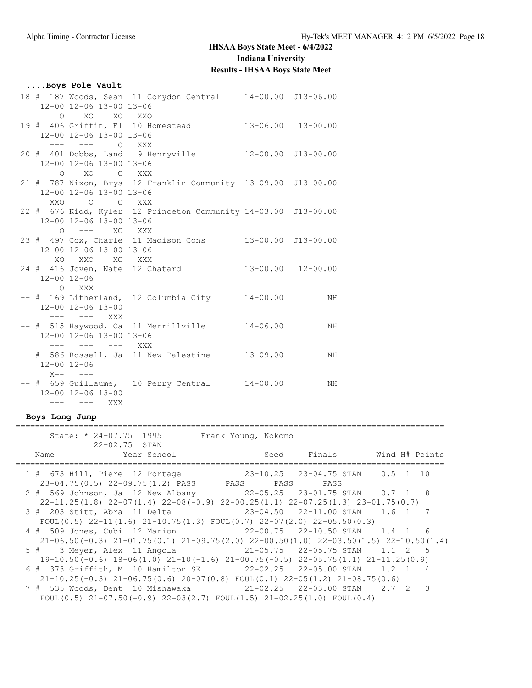#### **....Boys Pole Vault** 18 # 187 Woods, Sean 11 Corydon Central 14-00.00 J13-06.00 12-00 12-06 13-00 13-06 O XO XO XXO 19 # 406 Griffin, El 10 Homestead 13-06.00 13-00.00 12-00 12-06 13-00 13-06 --- --- O XXX 20 # 401 Dobbs, Land 9 Henryville 12-00.00 J13-00.00 12-00 12-06 13-00 13-06 O XO O XXX 21 # 787 Nixon, Brys 12 Franklin Community 13-09.00 J13-00.00 12-00 12-06 13-00 13-06 XXO O O XXX 22 # 676 Kidd, Kyler 12 Princeton Community 14-03.00 J13-00.00 12-00 12-06 13-00 13-06 O --- XO XXX 23 # 497 Cox, Charle 11 Madison Cons 13-00.00 J13-00.00 12-00 12-06 13-00 13-06 XO XXO XO XXX 24 # 416 Joven, Nate 12 Chatard 13-00.00 12-00.00 12-00 12-06 O XXX -- # 169 Litherland, 12 Columbia City 14-00.00 MH 12-00 12-06 13-00 --- --- XXX -- # 515 Haywood, Ca 11 Merrillville 14-06.00 MH 12-00 12-06 13-00 13-06 --- --- --- XXX -- # 586 Rossell, Ja 11 New Palestine 13-09.00 MH 12-00 12-06  $X- ---$ -- # 659 Guillaume, 10 Perry Central 14-00.00 MH 12-00 12-06 13-00 --- --- XXX

#### **Boys Long Jump**

|      | State: * 24-07.75 1995<br>22-02.75 STAN                                                                                                                        | Frank Young, Kokomo                |              |                |
|------|----------------------------------------------------------------------------------------------------------------------------------------------------------------|------------------------------------|--------------|----------------|
| Name | Year School                                                                                                                                                    |                                    | Seed Finals  | Wind H# Points |
|      | 1 # 673 Hill, Piere 12 Portage<br>23-04.75(0.5) 22-09.75(1.2) PASS PASS                                                                                        |                                    | PASS<br>PASS |                |
|      | 2 # 569 Johnson, Ja 12 New Albany 22-05.25 23-01.75 STAN 0.7 1 8<br>$22-11.25(1.8)$ $22-07(1.4)$ $22-08(-0.9)$ $22-00.25(1.1)$ $22-07.25(1.3)$ $23-01.75(0.7)$ |                                    |              |                |
|      | 3 # 203 Stitt, Abra 11 Delta<br>FOUL $(0.5)$ 22-11 $(1.6)$ 21-10.75 $(1.3)$ FOUL $(0.7)$ 22-07 $(2.0)$ 22-05.50 $(0.3)$                                        | $23-04.50$ $22-11.00$ STAN $1.6$ 1 |              |                |
|      | $21-06.50(-0.3)$ $21-01.75(0.1)$ $21-09.75(2.0)$ $22-00.50(1.0)$ $22-03.50(1.5)$ $22-10.50(1.4)$                                                               |                                    |              | 6              |
|      | 5 # 3 Meyer, Alex 11 Angola 21-05.75 22-05.75 STAN 1.1 2<br>$19-10.50(-0.6)$ $18-06(1.0)$ $21-10(-1.6)$ $21-00.75(-0.5)$ $22-05.75(1.1)$ $21-11.25(0.9)$       |                                    |              | $-5$           |
|      | 6 # 373 Griffith, M 10 Hamilton SE 22-02.25 22-05.00 STAN 1.2 1<br>$21-10.25(-0.3)$ $21-06.75(0.6)$ $20-07(0.8)$ FOUL $(0.1)$ $22-05(1.2)$ $21-08.75(0.6)$     |                                    |              |                |
|      | 7 # 535 Woods, Dent 10 Mishawaka<br>FOUL(0.5) $21-07.50(-0.9)$ $22-03(2.7)$ FOUL(1.5) $21-02.25(1.0)$ FOUL(0.4)                                                | 21-02.25 22-03.00 STAN 2.7 2       |              | ्र             |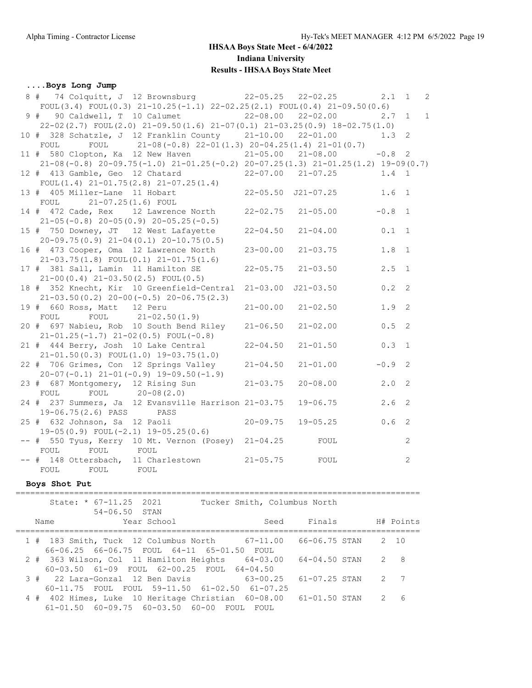#### **....Boys Long Jump**

| 8 # 74 Colquitt, J 12 Brownsburg 22-05.25                                                    |                              | $22 - 02.25$              | 2.1              | $\overline{1}$<br>$\overline{c}$ |
|----------------------------------------------------------------------------------------------|------------------------------|---------------------------|------------------|----------------------------------|
| FOUL (3.4) FOUL (0.3) $21-10.25(-1.1)$ $22-02.25(2.1)$ FOUL (0.4) $21-09.50(0.6)$            |                              |                           |                  |                                  |
| 90 Caldwell, T 10 Calumet 22-08.00<br>9#                                                     |                              | $22 - 02.00$              | $2.7 \quad 1$    | $\mathbf{1}$                     |
| 22-02(2.7) FOUL(2.0) 21-09.50(1.6) 21-07(0.1) 21-03.25(0.9) 18-02.75(1.0)                    |                              |                           |                  |                                  |
| 10 # 328 Schatzle, J 12 Franklin County 21-10.00 22-01.00                                    |                              |                           | $1.3 \quad 2$    |                                  |
| FOUL 21-08 (-0.8) $22-01(1.3)$ $20-04.25(1.4)$ $21-01(0.7)$<br>FOUL                          |                              |                           |                  |                                  |
| 11 # 580 Clopton, Ka 12 New Haven 21-05.00 21-08.00                                          |                              |                           | $-0.8$ 2         |                                  |
| $21-08(-0.8)$ $20-09.75(-1.0)$ $21-01.25(-0.2)$ $20-07.25(1.3)$ $21-01.25(1.2)$ $19-09(0.7)$ |                              |                           |                  |                                  |
| 12 # 413 Gamble, Geo 12 Chatard                                                              |                              | $22 - 07.00$ $21 - 07.25$ | $1.4 \quad 1$    |                                  |
| FOUL $(1.4)$ $21-01.75(2.8)$ $21-07.25(1.4)$                                                 |                              |                           |                  |                                  |
| 13 # 405 Miller-Lane 11 Hobart                                                               |                              | 22-05.50 J21-07.25        | 1.6 <sub>1</sub> |                                  |
| FOUL<br>21-07.25(1.6) FOUL                                                                   |                              |                           |                  |                                  |
| 14 # 472 Cade, Rex 12 Lawrence North                                                         | $22 - 02.75$                 | $21 - 05.00$              | $-0.8$           | $\overline{1}$                   |
|                                                                                              |                              |                           |                  |                                  |
| $21-05(-0.8)$ 20-05(0.9) 20-05.25(-0.5)                                                      |                              |                           |                  |                                  |
| 15 # 750 Downey, JT 12 West Lafayette                                                        | $22 - 04.50$                 | $21 - 04.00$              | 0.1              | $\overline{1}$                   |
| $20-09.75(0.9)$ $21-04(0.1)$ $20-10.75(0.5)$                                                 |                              |                           |                  |                                  |
| 16 # 473 Cooper, Oma 12 Lawrence North                                                       | $23 - 00.00$                 | $21 - 03.75$              | 1.8              | $\overline{1}$                   |
| $21-03.75(1.8)$ FOUL $(0.1)$ $21-01.75(1.6)$                                                 |                              |                           |                  |                                  |
| 17 # 381 Sall, Lamin 11 Hamilton SE                                                          | $22 - 05.75$                 | $21 - 03.50$              | 2.5              | $\overline{1}$                   |
| $21-00(0.4)$ $21-03.50(2.5)$ FOUL $(0.5)$                                                    |                              |                           |                  |                                  |
| 18 # 352 Knecht, Kir 10 Greenfield-Central                                                   | $21 - 03.00$                 | $J21 - 03.50$             | 0.2              | $\overline{\phantom{0}}^2$       |
| $21-03.50(0.2)$ $20-00(-0.5)$ $20-06.75(2.3)$                                                |                              |                           |                  |                                  |
| 19 # 660 Ross, Matt 12 Peru                                                                  | $21 - 00.00$                 | $21 - 02.50$              | 1.9              | $\overline{2}$                   |
| FOUL $21-02.50(1.9)$<br>FOUL                                                                 |                              |                           |                  |                                  |
| 20 # 697 Nabieu, Rob 10 South Bend Riley                                                     | $21 - 06.50$                 | $21 - 02.00$              | 0.5              | 2                                |
| $21-01.25(-1.7)$ $21-02(0.5)$ FOUL(-0.8)                                                     |                              |                           |                  |                                  |
| 21 # 444 Berry, Josh 10 Lake Central                                                         | $22 - 04.50$                 | $21 - 01.50$              | 0.3              | $\overline{1}$                   |
| $21-01.50(0.3)$ FOUL $(1.0)$ 19-03.75 $(1.0)$                                                |                              |                           |                  |                                  |
| 22 # 706 Grimes, Con 12 Springs Valley                                                       | $21 - 04.50$                 | $21 - 01.00$              | $-0.9$           | $\overline{2}$                   |
| $20-07(-0.1)$ $21-01(-0.9)$ $19-09.50(-1.9)$                                                 |                              |                           |                  |                                  |
| 23 # 687 Montgomery, 12 Rising Sun                                                           | $21 - 03.75$                 | $20 - 08.00$              | 2.0              | 2                                |
| FOUL FOUL 20-08(2.0)                                                                         |                              |                           |                  |                                  |
| 24 # 237 Summers, Ja 12 Evansville Harrison 21-03.75                                         |                              | $19 - 06.75$              | 2.6              | $\mathbf{2}$                     |
| 19-06.75(2.6) PASS PASS                                                                      |                              |                           |                  |                                  |
|                                                                                              |                              |                           | 0.6              |                                  |
| 25 # 632 Johnson, Sa 12 Paoli                                                                | $20 - 09.75$                 | $19 - 05.25$              |                  | 2                                |
| $19-05(0.9)$ FOUL $(-2.1)$ $19-05.25(0.6)$                                                   |                              |                           |                  |                                  |
| -- # 550 Tyus, Kerry 10 Mt. Vernon (Posey) 21-04.25                                          |                              | FOUL                      |                  | $\mathbf{2}$                     |
| FOUL<br>FOUL<br>FOUL                                                                         |                              |                           |                  |                                  |
| -- # 148 Ottersbach, 11 Charlestown                                                          | $21 - 05.75$                 | FOUL                      |                  | 2                                |
| FOUL<br>FOUL<br>FOUL                                                                         |                              |                           |                  |                                  |
| Boys Shot Put                                                                                |                              |                           |                  |                                  |
|                                                                                              |                              |                           |                  |                                  |
| State: * 67-11.25 2021                                                                       | Tucker Smith, Columbus North |                           |                  |                                  |
| 54-06.50 STAN                                                                                |                              |                           |                  |                                  |
| Year School<br>Name                                                                          |                              | Seed Finals               | H# Points        |                                  |
|                                                                                              |                              |                           |                  |                                  |
| 1 # 183 Smith, Tuck 12 Columbus North 67-11.00 66-06.75 STAN                                 |                              |                           | 2 10             |                                  |
| 66-06.25 66-06.75 FOUL 64-11 65-01.50 FOUL                                                   |                              |                           |                  |                                  |
|                                                                                              |                              |                           |                  |                                  |

2 # 363 Wilson, Col 11 Hamilton Heights 64-03.00 64-04.50 STAN 2 8

3 # 22 Lara-Gonzal 12 Ben Davis 63-00.25 61-07.25 STAN 2 7

4 # 402 Himes, Luke 10 Heritage Christian 60-08.00 61-01.50 STAN 2 6

60-03.50 61-09 FOUL 62-00.25 FOUL 64-04.50

61-01.50 60-09.75 60-03.50 60-00 FOUL FOUL

60-11.75 FOUL FOUL 59-11.50 61-02.50 61-07.25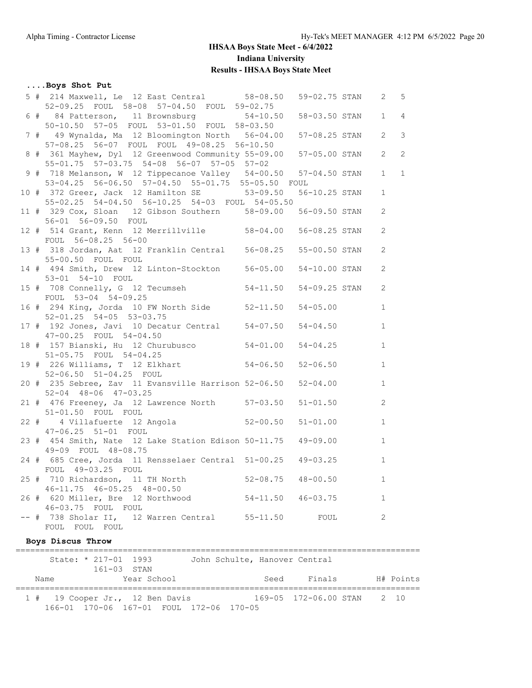## **....Boys Shot Put**

|                   |                                           | 5 # 214 Maxwell, Le 12 East Central 58-08.50                      |                               | 59-02.75 STAN |  | $\mathbf{2}$   | 5            |
|-------------------|-------------------------------------------|-------------------------------------------------------------------|-------------------------------|---------------|--|----------------|--------------|
|                   |                                           | 52-09.25 FOUL 58-08 57-04.50 FOUL 59-02.75                        |                               |               |  |                |              |
|                   |                                           | 6 # 84 Patterson, 11 Brownsburg 54-10.50 58-03.50 STAN            |                               |               |  | $\mathbf{1}$   | 4            |
|                   |                                           | 50-10.50 57-05 FOUL 53-01.50 FOUL 58-03.50                        |                               |               |  |                |              |
|                   |                                           | 7 # 49 Wynalda, Ma 12 Bloomington North 56-04.00 57-08.25 STAN    |                               |               |  | $\overline{2}$ | 3            |
|                   |                                           | 57-08.25 56-07 FOUL FOUL 49-08.25 56-10.50                        |                               |               |  |                |              |
|                   |                                           | 8 # 361 Mayhew, Dyl 12 Greenwood Community 55-09.00 57-05.00 STAN |                               |               |  | $\overline{2}$ | 2            |
|                   | 55-01.75 57-03.75 54-08 56-07 57-05 57-02 |                                                                   |                               |               |  |                |              |
|                   |                                           | 9 # 718 Melanson, W 12 Tippecanoe Valley 54-00.50 57-04.50 STAN   |                               |               |  | $\mathbf{1}$   | $\mathbf{1}$ |
|                   |                                           | 53-04.25 56-06.50 57-04.50 55-01.75 55-05.50 FOUL                 |                               |               |  |                |              |
|                   |                                           | 10 # 372 Greer, Jack 12 Hamilton SE 53-09.50 56-10.25 STAN        |                               |               |  | $\mathbf{1}$   |              |
|                   |                                           | 55-02.25 54-04.50 56-10.25 54-03 FOUL 54-05.50                    |                               |               |  |                |              |
|                   |                                           | 11 # 329 Cox, Sloan 12 Gibson Southern 58-09.00 56-09.50 STAN     |                               |               |  | 2              |              |
|                   |                                           | 56-01 56-09.50 FOUL                                               |                               |               |  |                |              |
|                   |                                           | 12 # 514 Grant, Kenn 12 Merrillville 58-04.00 56-08.25 STAN       |                               |               |  | $\mathbf{2}$   |              |
|                   |                                           | FOUL 56-08.25 56-00                                               |                               |               |  |                |              |
|                   |                                           | 13 # 318 Jordan, Aat 12 Franklin Central 56-08.25 55-00.50 STAN   |                               |               |  | 2              |              |
|                   |                                           | 55-00.50 FOUL FOUL                                                |                               |               |  |                |              |
|                   |                                           | 14 # 494 Smith, Drew 12 Linton-Stockton 56-05.00 54-10.00 STAN    |                               |               |  | $\mathbf{2}$   |              |
|                   |                                           | 53-01 54-10 FOUL                                                  |                               |               |  |                |              |
|                   |                                           | 15 # 708 Connelly, G 12 Tecumseh 54-11.50 54-09.25 STAN           |                               |               |  | $\mathbf{2}$   |              |
|                   |                                           | FOUL 53-04 54-09.25                                               |                               |               |  |                |              |
|                   |                                           | 16 # 294 King, Jorda 10 FW North Side 52-11.50 54-05.00           |                               |               |  | $\mathbf{1}$   |              |
|                   |                                           | 52-01.25 54-05 53-03.75                                           |                               |               |  |                |              |
|                   |                                           | 17 # 192 Jones, Javi 10 Decatur Central 54-07.50 54-04.50         |                               |               |  | $\mathbf{1}$   |              |
|                   |                                           |                                                                   |                               |               |  |                |              |
|                   |                                           | 47-00.25 FOUL 54-04.50                                            |                               |               |  |                |              |
|                   |                                           | 18 # 157 Bianski, Hu 12 Churubusco 54-01.00                       |                               | $54 - 04.25$  |  | $\mathbf{1}$   |              |
|                   |                                           | 51-05.75 FOUL 54-04.25                                            |                               |               |  |                |              |
|                   |                                           | 19 # 226 Williams, T 12 Elkhart 54-06.50 52-06.50                 |                               |               |  | $\mathbf{1}$   |              |
|                   |                                           | 52-06.50 51-04.25 FOUL                                            |                               |               |  |                |              |
|                   |                                           | 20 # 235 Sebree, Zav 11 Evansville Harrison 52-06.50 52-04.00     |                               |               |  | $\mathbf{1}$   |              |
|                   |                                           | 52-04 48-06 47-03.25                                              |                               |               |  |                |              |
|                   |                                           | 21 # 476 Freeney, Ja 12 Lawrence North 57-03.50 51-01.50          |                               |               |  | $\overline{c}$ |              |
|                   |                                           | 51-01.50 FOUL FOUL                                                |                               |               |  |                |              |
|                   |                                           | 22 # 4 Villafuerte 12 Angola 52-00.50 51-01.00                    |                               |               |  | $\mathbf{1}$   |              |
|                   |                                           | 47-06.25 51-01 FOUL                                               |                               |               |  |                |              |
|                   |                                           | 23 # 454 Smith, Nate 12 Lake Station Edison 50-11.75 49-09.00     |                               |               |  | $\mathbf{1}$   |              |
|                   |                                           | 49-09 FOUL 48-08.75                                               |                               |               |  |                |              |
|                   |                                           | 24 # 685 Cree, Jorda 11 Rensselaer Central 51-00.25 49-03.25      |                               |               |  | $\mathbf{1}$   |              |
|                   |                                           | FOUL 49-03.25 FOUL                                                |                               |               |  |                |              |
|                   |                                           | 25 # 710 Richardson, 11 TH North 52-08.75 48-00.50                |                               |               |  | $\mathbf{1}$   |              |
|                   |                                           | $46 - 11.75$ $46 - 05.25$ $48 - 00.50$                            |                               |               |  |                |              |
|                   |                                           | 26 # 620 Miller, Bre 12 Northwood                                 | $54-11.50$ $46-03.75$         |               |  | 1              |              |
|                   |                                           | 46-03.75 FOUL FOUL                                                |                               |               |  |                |              |
|                   |                                           | -- # 738 Sholar II, 12 Warren Central 55-11.50                    |                               | FOUL          |  | 2              |              |
|                   |                                           | FOUL FOUL FOUL                                                    |                               |               |  |                |              |
| Boys Discus Throw |                                           |                                                                   |                               |               |  |                |              |
|                   |                                           | ================<br>State: * 217-01 1993                          | John Schulte, Hanover Central |               |  |                |              |
|                   |                                           |                                                                   |                               |               |  |                |              |

 161-03 STAN Name Year School Seed Finals H# Points =================================================================================== 1 # 19 Cooper Jr., 12 Ben Davis 169-05 172-06.00 STAN 2 10 166-01 170-06 167-01 FOUL 172-06 170-05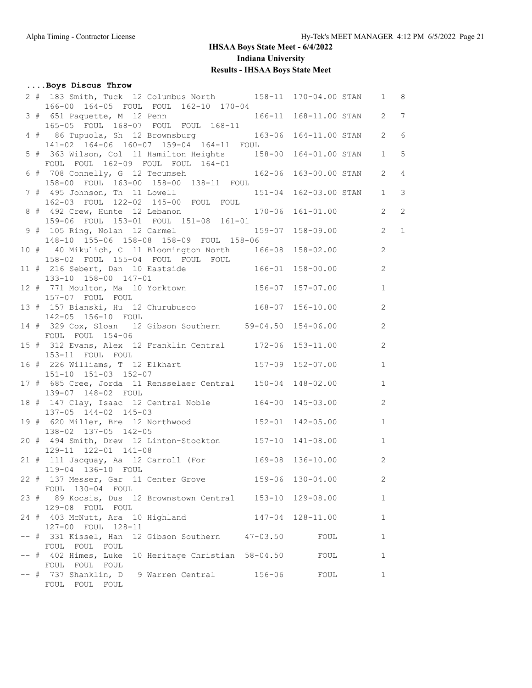**....Boys Discus Throw**

FOUL FOUL FOUL

FOUL FOUL FOUL

FOUL FOUL FOUL

## **IHSAA Boys State Meet - 6/4/2022 Indiana University Results - IHSAA Boys State Meet**

#### 2 # 183 Smith, Tuck 12 Columbus North 158-11 170-04.00 STAN 1 8 166-00 164-05 FOUL FOUL 162-10 170-04 3 # 651 Paquette, M 12 Penn 166-11 168-11.00 STAN 2 7 165-05 FOUL 168-07 FOUL FOUL 168-11 4 # 86 Tupuola, Sh 12 Brownsburg 163-06 164-11.00 STAN 2 6 141-02 164-06 160-07 159-04 164-11 FOUL 5 # 363 Wilson, Col 11 Hamilton Heights 158-00 164-01.00 STAN 1 5 FOUL FOUL 162-09 FOUL FOUL 164-01 6 # 708 Connelly, G 12 Tecumseh 162-06 163-00.00 STAN 2 4 158-00 FOUL 163-00 158-00 138-11 FOUL 7 # 495 Johnson, Th 11 Lowell 151-04 162-03.00 STAN 1 3 162-03 FOUL 122-02 145-00 FOUL FOUL 8 # 492 Crew, Hunte 12 Lebanon 170-06 161-01.00 2 2 159-06 FOUL 153-01 FOUL 151-08 161-01 9 # 105 Ring, Nolan 12 Carmel 159-07 158-09.00 2 1 148-10 155-06 158-08 158-09 FOUL 158-06 10 # 40 Mikulich, C 11 Bloomington North 166-08 158-02.00 2 158-02 FOUL 155-04 FOUL FOUL FOUL 11 # 216 Sebert, Dan 10 Eastside 166-01 158-00.00 2 133-10 158-00 147-01 12 # 771 Moulton, Ma 10 Yorktown 156-07 157-07.00 1 157-07 FOUL FOUL 13 # 157 Bianski, Hu 12 Churubusco 168-07 156-10.00 2 142-05 156-10 FOUL 14 # 329 Cox, Sloan 12 Gibson Southern 59-04.50 154-06.00 2 FOUL FOUL 154-06 15 # 312 Evans, Alex 12 Franklin Central 172-06 153-11.00 2 153-11 FOUL FOUL 16 # 226 Williams, T 12 Elkhart 157-09 152-07.00 1 151-10 151-03 152-07 17 # 685 Cree, Jorda 11 Rensselaer Central 150-04 148-02.00 1 139-07 148-02 FOUL 18 # 147 Clay, Isaac 12 Central Noble 164-00 145-03.00 2 137-05 144-02 145-03 19 # 620 Miller, Bre 12 Northwood 152-01 142-05.00 1 138-02 137-05 142-05 20 # 494 Smith, Drew 12 Linton-Stockton 157-10 141-08.00 1 129-11 122-01 141-08 21 # 111 Jacquay, Aa 12 Carroll (For 169-08 136-10.00 2 119-04 136-10 FOUL 22 # 137 Messer, Gar 11 Center Grove 159-06 130-04.00 2 FOUL 130-04 FOUL 23 # 89 Kocsis, Dus 12 Brownstown Central 153-10 129-08.00 1 129-08 FOUL FOUL 24 # 403 McNutt, Ara 10 Highland 147-04 128-11.00 1 127-00 FOUL 128-11 -- # 331 Kissel, Han 12 Gibson Southern 47-03.50 FOUL 1

-- # 402 Himes, Luke 10 Heritage Christian 58-04.50 FOUL 1

-- # 737 Shanklin, D 9 Warren Central 156-06 FOUL 1